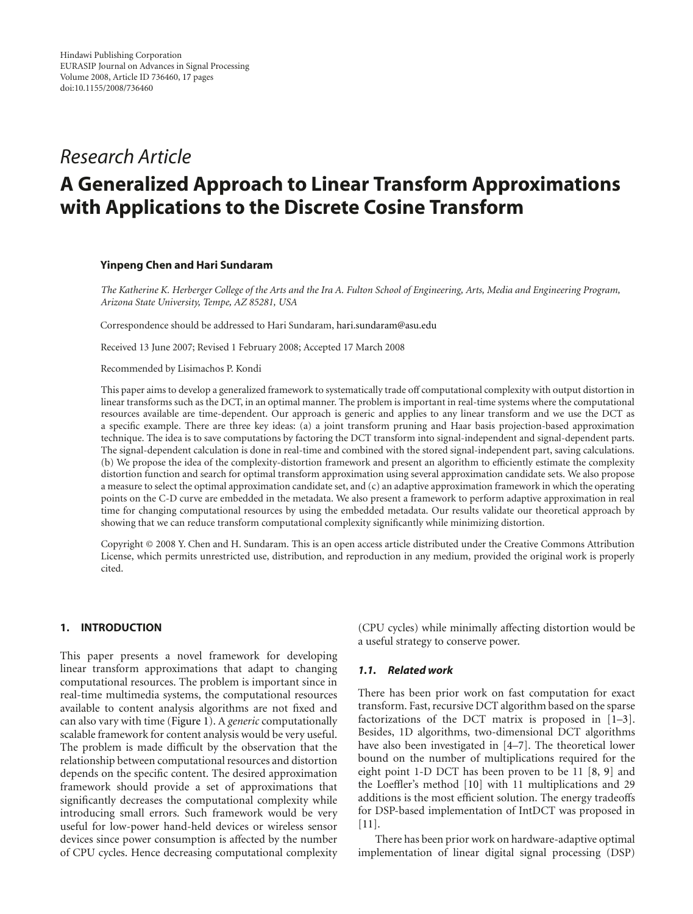## *Research Article*

# **A Generalized Approach to Linear Transform Approximations with Applications to the Discrete Cosine Transform**

## **Yinpeng Chen and Hari Sundaram**

*The Katherine K. Herberger College of the Arts and the Ira A. Fulton School of Engineering, Arts, Media and Engineering Program, Arizona State University, Tempe, AZ 85281, USA*

Correspondence should be addressed to Hari Sundaram, hari.sundaram@asu.edu

Received 13 June 2007; Revised 1 February 2008; Accepted 17 March 2008

Recommended by Lisimachos P. Kondi

This paper aims to develop a generalized framework to systematically trade off computational complexity with output distortion in linear transforms such as the DCT, in an optimal manner. The problem is important in real-time systems where the computational resources available are time-dependent. Our approach is generic and applies to any linear transform and we use the DCT as a specific example. There are three key ideas: (a) a joint transform pruning and Haar basis projection-based approximation technique. The idea is to save computations by factoring the DCT transform into signal-independent and signal-dependent parts. The signal-dependent calculation is done in real-time and combined with the stored signal-independent part, saving calculations. (b) We propose the idea of the complexity-distortion framework and present an algorithm to efficiently estimate the complexity distortion function and search for optimal transform approximation using several approximation candidate sets. We also propose a measure to select the optimal approximation candidate set, and (c) an adaptive approximation framework in which the operating points on the C-D curve are embedded in the metadata. We also present a framework to perform adaptive approximation in real time for changing computational resources by using the embedded metadata. Our results validate our theoretical approach by showing that we can reduce transform computational complexity significantly while minimizing distortion.

Copyright © 2008 Y. Chen and H. Sundaram. This is an open access article distributed under the Creative Commons Attribution License, which permits unrestricted use, distribution, and reproduction in any medium, provided the original work is properly cited.

## **1. INTRODUCTION**

This paper presents a novel framework for developing linear transform approximations that adapt to changing computational resources. The problem is important since in real-time multimedia systems, the computational resources available to content analysis algorithms are not fixed and can also vary with time (Figure 1). A *generic* computationally scalable framework for content analysis would be very useful. The problem is made difficult by the observation that the relationship between computational resources and distortion depends on the specific content. The desired approximation framework should provide a set of approximations that significantly decreases the computational complexity while introducing small errors. Such framework would be very useful for low-power hand-held devices or wireless sensor devices since power consumption is affected by the number of CPU cycles. Hence decreasing computational complexity (CPU cycles) while minimally affecting distortion would be a useful strategy to conserve power.

## *1.1. Related work*

There has been prior work on fast computation for exact transform. Fast, recursive DCT algorithm based on the sparse factorizations of the DCT matrix is proposed in [1–3]. Besides, 1D algorithms, two-dimensional DCT algorithms have also been investigated in [4–7]. The theoretical lower bound on the number of multiplications required for the eight point 1-D DCT has been proven to be 11 [8, 9] and the Loeffler's method [10] with 11 multiplications and 29 additions is the most efficient solution. The energy tradeoffs for DSP-based implementation of IntDCT was proposed in [11].

There has been prior work on hardware-adaptive optimal implementation of linear digital signal processing (DSP)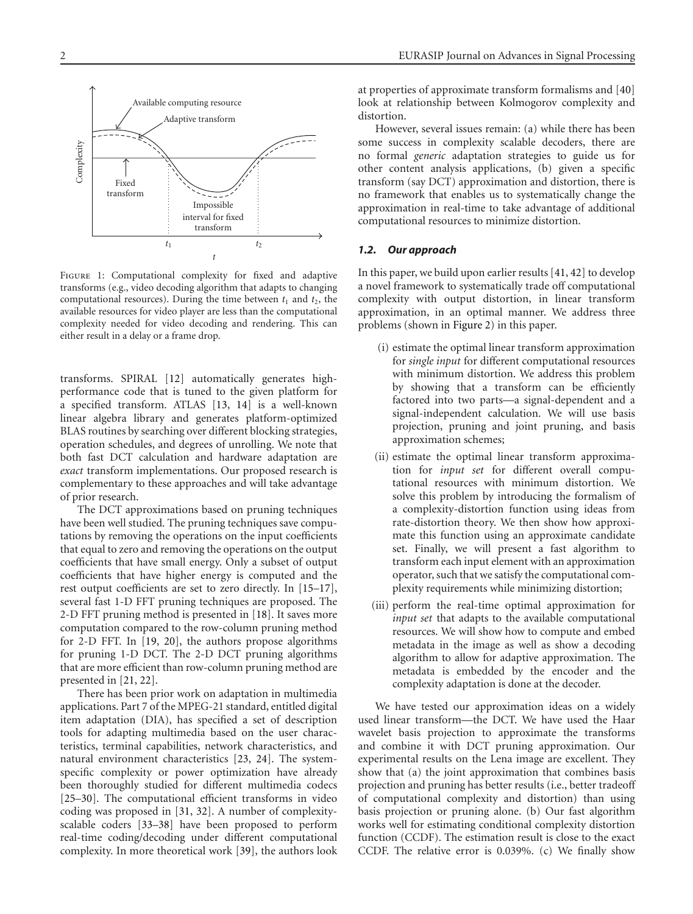

FIGURE 1: Computational complexity for fixed and adaptive transforms (e.g., video decoding algorithm that adapts to changing computational resources). During the time between  $t_1$  and  $t_2$ , the available resources for video player are less than the computational complexity needed for video decoding and rendering. This can either result in a delay or a frame drop.

transforms. SPIRAL [12] automatically generates highperformance code that is tuned to the given platform for a specified transform. ATLAS [13, 14] is a well-known linear algebra library and generates platform-optimized BLAS routines by searching over different blocking strategies, operation schedules, and degrees of unrolling. We note that both fast DCT calculation and hardware adaptation are *exact* transform implementations. Our proposed research is complementary to these approaches and will take advantage of prior research.

The DCT approximations based on pruning techniques have been well studied. The pruning techniques save computations by removing the operations on the input coefficients that equal to zero and removing the operations on the output coefficients that have small energy. Only a subset of output coefficients that have higher energy is computed and the rest output coefficients are set to zero directly. In [15–17], several fast 1-D FFT pruning techniques are proposed. The 2-D FFT pruning method is presented in [18]. It saves more computation compared to the row-column pruning method for 2-D FFT. In [19, 20], the authors propose algorithms for pruning 1-D DCT. The 2-D DCT pruning algorithms that are more efficient than row-column pruning method are presented in [21, 22].

There has been prior work on adaptation in multimedia applications. Part 7 of the MPEG-21 standard, entitled digital item adaptation (DIA), has specified a set of description tools for adapting multimedia based on the user characteristics, terminal capabilities, network characteristics, and natural environment characteristics [23, 24]. The systemspecific complexity or power optimization have already been thoroughly studied for different multimedia codecs [25–30]. The computational efficient transforms in video coding was proposed in [31, 32]. A number of complexityscalable coders [33–38] have been proposed to perform real-time coding/decoding under different computational complexity. In more theoretical work [39], the authors look

at properties of approximate transform formalisms and [40] look at relationship between Kolmogorov complexity and distortion.

However, several issues remain: (a) while there has been some success in complexity scalable decoders, there are no formal *generic* adaptation strategies to guide us for other content analysis applications, (b) given a specific transform (say DCT) approximation and distortion, there is no framework that enables us to systematically change the approximation in real-time to take advantage of additional computational resources to minimize distortion.

#### *1.2. Our approach*

In this paper, we build upon earlier results [41, 42] to develop a novel framework to systematically trade off computational complexity with output distortion, in linear transform approximation, in an optimal manner. We address three problems (shown in Figure 2) in this paper.

- (i) estimate the optimal linear transform approximation for *single input* for different computational resources with minimum distortion. We address this problem by showing that a transform can be efficiently factored into two parts—a signal-dependent and a signal-independent calculation. We will use basis projection, pruning and joint pruning, and basis approximation schemes;
- (ii) estimate the optimal linear transform approximation for *input set* for different overall computational resources with minimum distortion. We solve this problem by introducing the formalism of a complexity-distortion function using ideas from rate-distortion theory. We then show how approximate this function using an approximate candidate set. Finally, we will present a fast algorithm to transform each input element with an approximation operator, such that we satisfy the computational complexity requirements while minimizing distortion;
- (iii) perform the real-time optimal approximation for *input set* that adapts to the available computational resources. We will show how to compute and embed metadata in the image as well as show a decoding algorithm to allow for adaptive approximation. The metadata is embedded by the encoder and the complexity adaptation is done at the decoder.

We have tested our approximation ideas on a widely used linear transform—the DCT. We have used the Haar wavelet basis projection to approximate the transforms and combine it with DCT pruning approximation. Our experimental results on the Lena image are excellent. They show that (a) the joint approximation that combines basis projection and pruning has better results (i.e., better tradeoff of computational complexity and distortion) than using basis projection or pruning alone. (b) Our fast algorithm works well for estimating conditional complexity distortion function (CCDF). The estimation result is close to the exact CCDF. The relative error is 0.039%. (c) We finally show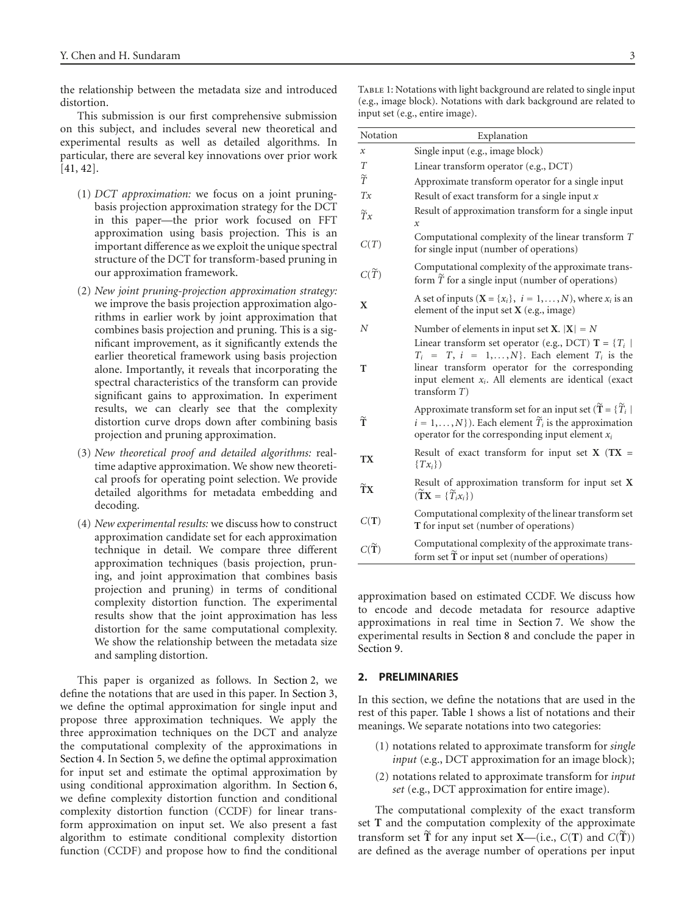the relationship between the metadata size and introduced distortion.

This submission is our first comprehensive submission on this subject, and includes several new theoretical and experimental results as well as detailed algorithms. In particular, there are several key innovations over prior work [41, 42].

- (1) *DCT approximation:* we focus on a joint pruningbasis projection approximation strategy for the DCT in this paper—the prior work focused on FFT approximation using basis projection. This is an important difference as we exploit the unique spectral structure of the DCT for transform-based pruning in our approximation framework.
- (2) *New joint pruning-projection approximation strategy:* we improve the basis projection approximation algorithms in earlier work by joint approximation that combines basis projection and pruning. This is a significant improvement, as it significantly extends the earlier theoretical framework using basis projection alone. Importantly, it reveals that incorporating the spectral characteristics of the transform can provide significant gains to approximation. In experiment results, we can clearly see that the complexity distortion curve drops down after combining basis projection and pruning approximation.
- (3) *New theoretical proof and detailed algorithms:* realtime adaptive approximation. We show new theoretical proofs for operating point selection. We provide detailed algorithms for metadata embedding and decoding.
- (4) *New experimental results:* we discuss how to construct approximation candidate set for each approximation technique in detail. We compare three different approximation techniques (basis projection, pruning, and joint approximation that combines basis projection and pruning) in terms of conditional complexity distortion function. The experimental results show that the joint approximation has less distortion for the same computational complexity. We show the relationship between the metadata size and sampling distortion.

This paper is organized as follows. In Section 2, we define the notations that are used in this paper. In Section 3, we define the optimal approximation for single input and propose three approximation techniques. We apply the three approximation techniques on the DCT and analyze the computational complexity of the approximations in Section 4. In Section 5, we define the optimal approximation for input set and estimate the optimal approximation by using conditional approximation algorithm. In Section 6, we define complexity distortion function and conditional complexity distortion function (CCDF) for linear transform approximation on input set. We also present a fast algorithm to estimate conditional complexity distortion function (CCDF) and propose how to find the conditional

| Notation                    | Explanation                                                                                                                                                                                                                                  |
|-----------------------------|----------------------------------------------------------------------------------------------------------------------------------------------------------------------------------------------------------------------------------------------|
| $\mathcal{X}$               | Single input (e.g., image block)                                                                                                                                                                                                             |
| T                           | Linear transform operator (e.g., DCT)                                                                                                                                                                                                        |
| $\widetilde{T}$             | Approximate transform operator for a single input                                                                                                                                                                                            |
| Tx                          | Result of exact transform for a single input $x$                                                                                                                                                                                             |
| $\widetilde{T}x$            | Result of approximation transform for a single input<br>$\mathcal{X}$                                                                                                                                                                        |
| C(T)                        | Computational complexity of the linear transform T<br>for single input (number of operations)                                                                                                                                                |
| $C(\widetilde{T})$          | Computational complexity of the approximate trans-<br>form $\tilde{T}$ for a single input (number of operations)                                                                                                                             |
| X                           | A set of inputs $(X = \{x_i\}, i = 1, , N)$ , where $x_i$ is an<br>element of the input set $X$ (e.g., image)                                                                                                                                |
| N                           | Number of elements in input set <b>X</b> . $ X  = N$                                                                                                                                                                                         |
| T                           | Linear transform set operator (e.g., DCT) $T = \{T_i$<br>$T_i$ = T, $i$ = 1,, N}. Each element $T_i$ is the<br>linear transform operator for the corresponding<br>input element $x_i$ . All elements are identical (exact<br>transform $T$ ) |
| Ĩ                           | Approximate transform set for an input set ( $\widetilde{\mathbf{T}} = \{ \widetilde{T}_i \mid$<br>$i = 1, \ldots, N$ ). Each element $\widetilde{T}_i$ is the approximation<br>operator for the corresponding input element $x_i$           |
| <b>TX</b>                   | Result of exact transform for input set $X(TX)$ =<br>$\{Tx_i\})$                                                                                                                                                                             |
| ĨХ                          | Result of approximation transform for input set X<br>$(\widetilde{\mathbf{T}}\mathbf{X} = {\{\widetilde{T}_i x_i\}})$                                                                                                                        |
| C(T)                        | Computational complexity of the linear transform set<br><b>T</b> for input set (number of operations)                                                                                                                                        |
| $C(\widetilde{\mathbf{T}})$ | Computational complexity of the approximate trans-<br>form set $\tilde{T}$ or input set (number of operations)                                                                                                                               |

approximation based on estimated CCDF. We discuss how to encode and decode metadata for resource adaptive approximations in real time in Section 7. We show the experimental results in Section 8 and conclude the paper in Section 9.

## **2. PRELIMINARIES**

In this section, we define the notations that are used in the rest of this paper. Table 1 shows a list of notations and their meanings. We separate notations into two categories:

- (1) notations related to approximate transform for *single input* (e.g., DCT approximation for an image block);
- (2) notations related to approximate transform for *input set* (e.g., DCT approximation for entire image).

The computational complexity of the exact transform set **T** and the computation complexity of the approximate The computational complexity of the exact transform<br>set **T** and the computation complexity of the approximate<br>transform set  $\tilde{T}$  for any input set **X**—(i.e., *C*(**T**) and *C*( $\tilde{T}$ )) are defined as the average number of operations per input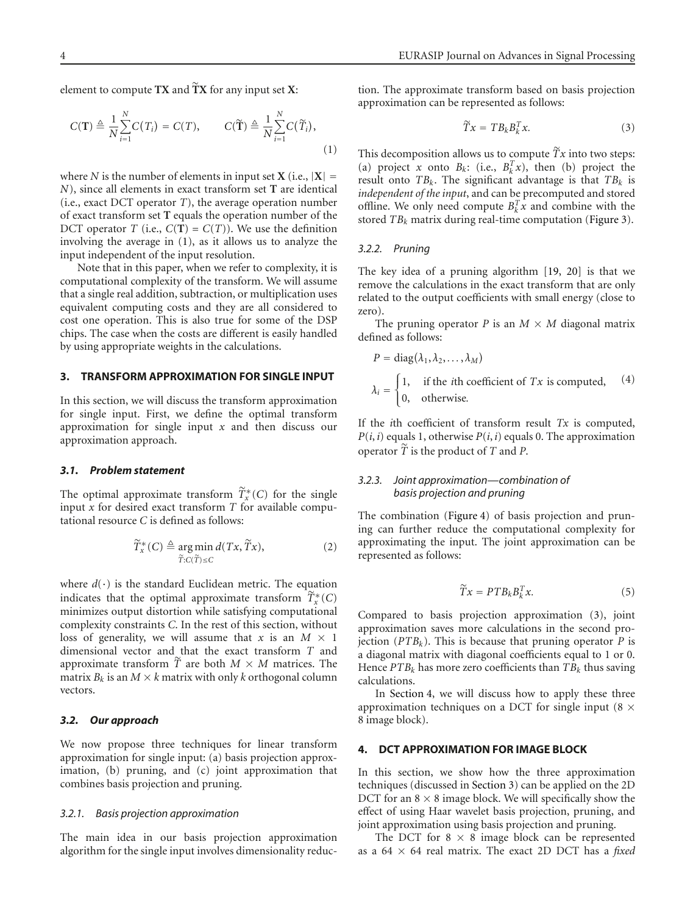element to compute **TX** and 
$$
\widetilde{\mathbf{T}}\mathbf{X}
$$
 for any input set **X**:  
\n
$$
C(\mathbf{T}) \triangleq \frac{1}{N} \sum_{i=1}^{N} C(T_i) = C(T), \qquad C(\widetilde{\mathbf{T}}) \triangleq \frac{1}{N} \sum_{i=1}^{N} C(\widetilde{T}_i),
$$
\n(1)

where *N* is the number of elements in input set **X** (i.e.,  $|X|$  = *N*), since all elements in exact transform set **T** are identical (i.e., exact DCT operator *T*), the average operation number of exact transform set **T** equals the operation number of the DCT operator *T* (i.e.,  $C(T) = C(T)$ ). We use the definition involving the average in (1), as it allows us to analyze the input independent of the input resolution.

Note that in this paper, when we refer to complexity, it is computational complexity of the transform. We will assume that a single real addition, subtraction, or multiplication uses equivalent computing costs and they are all considered to cost one operation. This is also true for some of the DSP chips. The case when the costs are different is easily handled by using appropriate weights in the calculations.

## **3. TRANSFORM APPROXIMATION FOR SINGLE INPUT**

In this section, we will discuss the transform approximation for single input. First, we define the optimal transform approximation for single input *x* and then discuss our approximation approach.

#### *3.1. Problem statement*

**3.1. Problem statement**<br>The optimal approximate transform  $\widetilde{T}_x^*(C)$  for the single input  $\overline{x}$  for desired exact transform  $\overline{T}$  for available computational resource *C* is defined as follows:<br> $\widetilde{T}_x^*(C) \triangleq \arg \min d(Tx, \widetilde{T}x)$  $\frac{1}{T}$ <br> $\frac{1}{T}$ 

$$
\widetilde{T}_x^*(C) \triangleq \underset{\widetilde{T}:C(\widetilde{T}) \leq C}{\text{arg min}} \, d(Tx, \widetilde{T}x),\tag{2}
$$

where  $d(\cdot)$  is the standard Euclidean metric. The equation  $i.e(1)$  ≤  $i.e(1)$  ∴ $i.e(1)$  ≤  $i.e(1)$  ∴ $i.e(1)$  ≤  $i.e(1)$  ∴ $i.e(1)$  ∴ $i.e(1)$  ∴ $i.e(1)$  ∴ $i.e(1)$  ∴ $i.e(1)$  ∴ $i.e(1)$  ∴ $i.e(1)$  ∴ $i.e(1)$  ∴ $i.e(1)$  ∴ $i.e(1)$  ∴ $i.e(1)$  ∴ $i.e(1)$  ∴ $i.e(1)$  ∴ $i.e(1)$  ∴ $i.e(1)$  ∴ $i.e(1)$  ∴ $i.e(1)$  ∴ $i.e(1)$  ∴minimizes output distortion while satisfying computational complexity constraints *C*. In the rest of this section, without loss of generality, we will assume that *x* is an  $M \times 1$ <br>dimensional vector and that the exact transform *T* and<br>approximate transform  $\tilde{T}$  are both  $M \times M$  matrices. The dimensional vector and that the exact transform *T* and approximate transform  $\tilde{T}$  are both  $M \times M$  matrices. The matrix  $B_k$  is an  $M \times k$  matrix with only *k* orthogonal column vectors.

## *3.2. Our approach*

We now propose three techniques for linear transform approximation for single input: (a) basis projection approximation, (b) pruning, and (c) joint approximation that combines basis projection and pruning.

#### *3.2.1. Basis projection approximation*

The main idea in our basis projection approximation algorithm for the single input involves dimensionality reduction. The approximate transform based on basis projection approximation can be represented as follows:<br>  $\widetilde{T}x = TB_kB_k^T x.$ 

$$
\widetilde{T}x = T B_k B_k^T x. \tag{3}
$$

 $\widetilde{T}x = T B_k B_k^T x. \eqno(3)$  This decomposition allows us to compute<br>  $\widetilde{T}x$  into two steps: (a) project *x* onto  $B_k$ : (i.e.,  $B_k^T x$ ), then (b) project the result onto *TBk*. The significant advantage is that *TBk* is *independent of the input*, and can be precomputed and stored offline. We only need compute  $B_k^T x$  and combine with the stored *TBk* matrix during real-time computation (Figure 3).

## *3.2.2. Pruning*

 $\sqrt{2}$ 

The key idea of a pruning algorithm [19, 20] is that we remove the calculations in the exact transform that are only related to the output coefficients with small energy (close to zero).

The pruning operator *P* is an  $M \times M$  diagonal matrix ined as follows:<br>  $P = diag(\lambda_1, \lambda_2, ..., \lambda_M)$ defined as follows:

$$
P = diag(\lambda_1, \lambda_2, ..., \lambda_M)
$$
  

$$
\lambda_i = \begin{cases} 1, & \text{if the } i\text{th coefficient of } Tx \text{ is computed,} \\ 0, & \text{otherwise.} \end{cases}
$$
 (4)

If the *i*th coefficient of transform result *Tx* is computed,  $P(i, i)$  equals 1, otherwise  $P(i, i)$  equals 0. The approximation If the *i*th  $P(i, i)$  equal operator  $\hat{T}$ operator  $\widetilde{T}$  is the product of *T* and *P*.

## *3.2.3. Joint approximation—combination of basis projection and pruning*

The combination (Figure 4) of basis projection and pruning can further reduce the computational complexity for approximating the input. The joint approximation can be represented as follows:

$$
\widetilde{T}x = PTB_kB_k^T x.
$$
\n(5)

Compared to basis projection approximation (3), joint approximation saves more calculations in the second projection  $(PTB_k)$ . This is because that pruning operator *P* is a diagonal matrix with diagonal coefficients equal to 1 or 0. Hence  $PTB_k$  has more zero coefficients than  $TB_k$  thus saving calculations.

In Section 4, we will discuss how to apply these three approximation techniques on a DCT for single input (8  $\times$ 8 image block).

## **4. DCT APPROXIMATION FOR IMAGE BLOCK**

In this section, we show how the three approximation techniques (discussed in Section 3) can be applied on the 2D DCT for an  $8 \times 8$  image block. We will specifically show the effect of using Haar wavelet basis projection, pruning, and joint approximation using basis projection and pruning.

The DCT for  $8 \times 8$  image block can be represented as a 64 × 64 real matrix. The exact 2D DCT has a *fixed*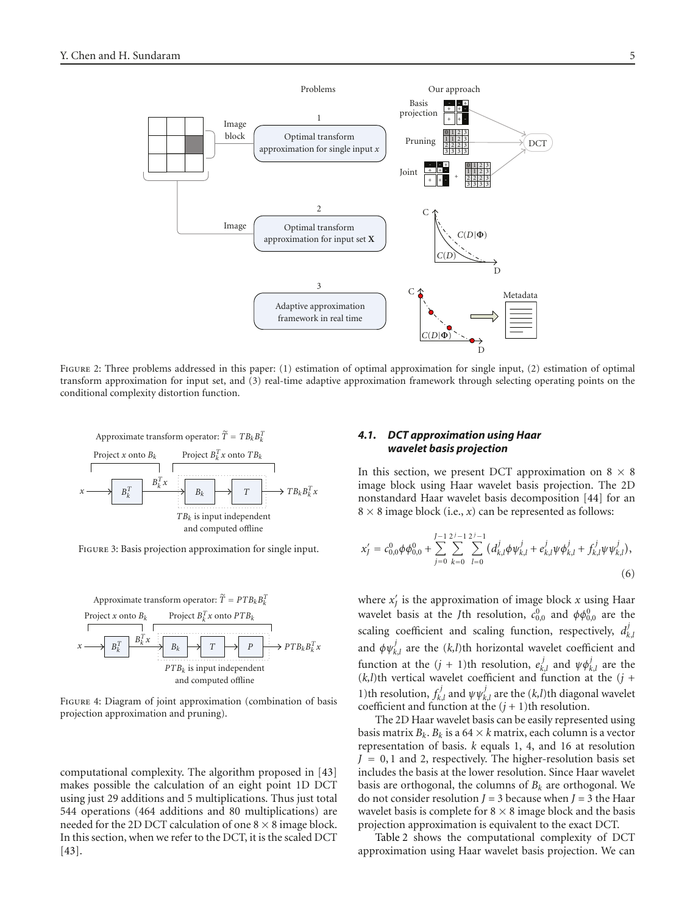

FIGURE 2: Three problems addressed in this paper: (1) estimation of optimal approximation for single input, (2) estimation of optimal transform approximation for input set, and (3) real-time adaptive approximation framework through selecting operating points on the conditional complexity distortion function.



Figure 3: Basis projection approximation for single input.



Figure 4: Diagram of joint approximation (combination of basis projection approximation and pruning).

computational complexity. The algorithm proposed in [43] makes possible the calculation of an eight point 1D DCT using just 29 additions and 5 multiplications. Thus just total 544 operations (464 additions and 80 multiplications) are needed for the 2D DCT calculation of one  $8 \times 8$  image block. In this section, when we refer to the DCT, it is the scaled DCT [43].

## *4.1. DCT approximation using Haar wavelet basis projection*

In this section, we present DCT approximation on  $8 \times 8$ image block using Haar wavelet basis projection. The 2D nonstandard Haar wavelet basis decomposition [44] for an  $8 \times 8$  image block (i.e., *x*) can be represented as follows:

$$
x'_{J} = c_{0,0}^{0} \phi \phi_{0,0}^{0} + \sum_{j=0}^{J-1} \sum_{k=0}^{2^{j}-1} \sum_{l=0}^{2^{j}-1} (d_{k,l}^{j} \phi \psi_{k,l}^{j} + e_{k,l}^{j} \psi \phi_{k,l}^{j} + f_{k,l}^{j} \psi \psi_{k,l}^{j}),
$$
\n(6)

where  $x'_j$  is the approximation of image block  $x$  using Haar wavelet basis at the *J*th resolution,  $c_{0,0}^0$  and  $\phi \phi_{0,0}^0$  are the scaling coefficient and scaling function, respectively,  $d_{k}^{j}$ and  $\phi \psi_{k,l}^j$  are the  $(k,l)$ th horizontal wavelet coefficient and function at the  $(j + 1)$ th resolution,  $e_{k,l}^{j}$  and  $\psi \phi_{k,l}^{j}$  are the  $(k, l)$ th vertical wavelet coefficient and function at the  $(j + 1)$ 1)th resolution,  $f_{k,l}^j$  and  $\psi \psi_{k,l}^j$  are the  $(k,l)$ th diagonal wavelet coefficient and function at the  $(j + 1)$ th resolution.

The 2D Haar wavelet basis can be easily represented using basis matrix  $B_k$ .  $B_k$  is a 64  $\times$  *k* matrix, each column is a vector representation of basis. *k* equals 1, 4, and 16 at resolution  $J = 0, 1$  and 2, respectively. The higher-resolution basis set includes the basis at the lower resolution. Since Haar wavelet basis are orthogonal, the columns of  $B_k$  are orthogonal. We do not consider resolution  $J = 3$  because when  $J = 3$  the Haar wavelet basis is complete for  $8 \times 8$  image block and the basis projection approximation is equivalent to the exact DCT.

Table 2 shows the computational complexity of DCT approximation using Haar wavelet basis projection. We can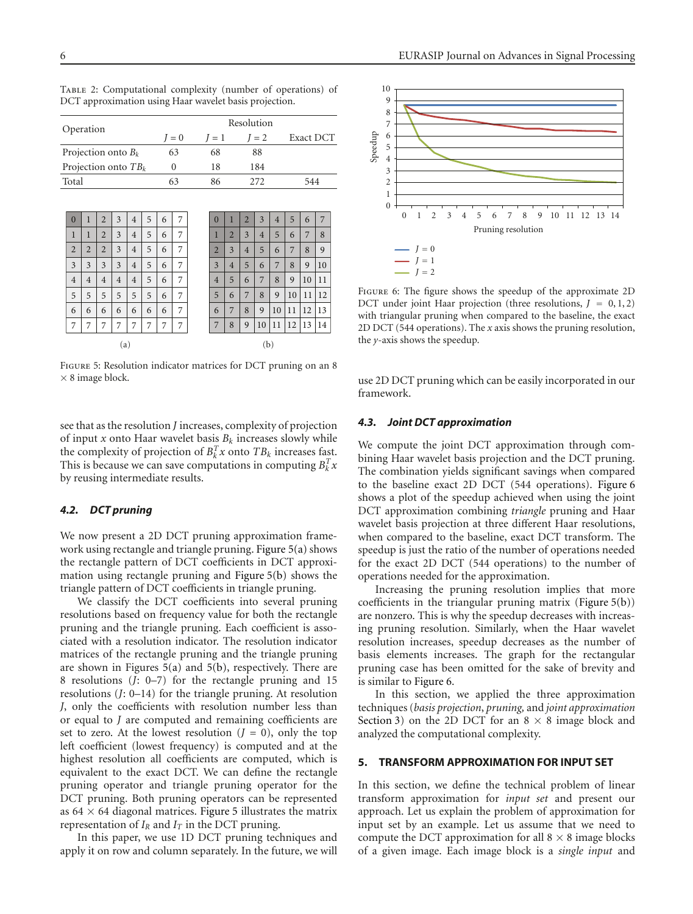| Operation              |                |                |                |   | Resolution     |       |   |    |       |                |                |                |                |                |   |   |    |  |
|------------------------|----------------|----------------|----------------|---|----------------|-------|---|----|-------|----------------|----------------|----------------|----------------|----------------|---|---|----|--|
|                        |                |                |                |   |                | $I=0$ |   |    | $I=1$ |                | $I=2$          |                |                | Exact DCT      |   |   |    |  |
| Projection onto $B_k$  |                |                |                |   | 63             |       |   | 68 |       | 88             |                |                |                |                |   |   |    |  |
| Projection onto $TB_k$ |                |                |                |   | $\Omega$       |       |   | 18 |       | 184            |                |                |                |                |   |   |    |  |
| Total                  |                |                |                |   | 63             |       |   | 86 |       | 272            |                |                | 544            |                |   |   |    |  |
|                        |                |                |                |   |                |       |   |    |       |                |                |                |                |                |   |   |    |  |
|                        |                |                |                |   |                |       |   |    |       |                |                |                |                |                |   |   |    |  |
|                        | $\Omega$       |                | $\overline{2}$ | 3 | $\overline{4}$ | 5     | 6 | 7  |       | $\Omega$       | 1              | $\overline{2}$ | 3              | $\overline{4}$ | 5 | 6 | 7  |  |
|                        | 1              | 1              | $\overline{2}$ | 3 | $\overline{4}$ | 5     | 6 | 7  |       | 1              | $\overline{2}$ | 3              | $\overline{4}$ | 5              | 6 | 7 | 8  |  |
|                        | $\overline{2}$ | $\overline{2}$ | $\overline{2}$ | 3 | $\overline{4}$ | 5     | 6 | 7  |       | $\overline{2}$ | 3              | $\overline{4}$ | 5              | 6              | 7 | 8 | 9  |  |
|                        | 3              | 3              | 3              | 3 | $\overline{4}$ | 5     | 6 | 7  |       | 3              | 4              | 5              | 6              |                | 8 | 9 | 10 |  |

4 5 6 7 8 9 10 11 5 6 7 8 9 10 11 12 6 7 8 9 10 11 12 13 7 8 9 10 11 12 13 14 (b)

Table 2: Computational complexity (number of operations) of DCT approximation using Haar wavelet basis projection.

Figure 5: Resolution indicator matrices for DCT pruning on an 8  $\times$  8 image block.

see that as the resolution *J* increases, complexity of projection of input *x* onto Haar wavelet basis  $B_k$  increases slowly while the complexity of projection of  $B_k^T x$  onto  $TB_k$  increases fast. This is because we can save computations in computing  $B_k^T x$ by reusing intermediate results.

## *4.2. DCT pruning*

4444567 5 5 5 5 5 6 7  $66666667$  $7|7|7|7|7|777$ (a)

We now present a 2D DCT pruning approximation framework using rectangle and triangle pruning. Figure 5(a) shows the rectangle pattern of DCT coefficients in DCT approximation using rectangle pruning and Figure 5(b) shows the triangle pattern of DCT coefficients in triangle pruning.

We classify the DCT coefficients into several pruning resolutions based on frequency value for both the rectangle pruning and the triangle pruning. Each coefficient is associated with a resolution indicator. The resolution indicator matrices of the rectangle pruning and the triangle pruning are shown in Figures  $5(a)$  and  $5(b)$ , respectively. There are 8 resolutions (*J*: 0–7) for the rectangle pruning and 15 resolutions (*J*: 0–14) for the triangle pruning. At resolution *J*, only the coefficients with resolution number less than or equal to *J* are computed and remaining coefficients are set to zero. At the lowest resolution  $(J = 0)$ , only the top left coefficient (lowest frequency) is computed and at the highest resolution all coefficients are computed, which is equivalent to the exact DCT. We can define the rectangle pruning operator and triangle pruning operator for the DCT pruning. Both pruning operators can be represented as  $64 \times 64$  diagonal matrices. Figure 5 illustrates the matrix representation of  $I_R$  and  $I_T$  in the DCT pruning.

In this paper, we use 1D DCT pruning techniques and apply it on row and column separately. In the future, we will



FIGURE 6: The figure shows the speedup of the approximate 2D DCT under joint Haar projection (three resolutions,  $J = 0, 1, 2$ ) with triangular pruning when compared to the baseline, the exact 2D DCT (544 operations). The *x* axis shows the pruning resolution, the *y*-axis shows the speedup.

use 2D DCT pruning which can be easily incorporated in our framework.

#### *4.3. Joint DCT approximation*

We compute the joint DCT approximation through combining Haar wavelet basis projection and the DCT pruning. The combination yields significant savings when compared to the baseline exact 2D DCT (544 operations). Figure 6 shows a plot of the speedup achieved when using the joint DCT approximation combining *triangle* pruning and Haar wavelet basis projection at three different Haar resolutions, when compared to the baseline, exact DCT transform. The speedup is just the ratio of the number of operations needed for the exact 2D DCT (544 operations) to the number of operations needed for the approximation.

Increasing the pruning resolution implies that more coefficients in the triangular pruning matrix (Figure 5(b)) are nonzero. This is why the speedup decreases with increasing pruning resolution. Similarly, when the Haar wavelet resolution increases, speedup decreases as the number of basis elements increases. The graph for the rectangular pruning case has been omitted for the sake of brevity and is similar to Figure 6.

In this section, we applied the three approximation techniques (*basis projection*, *pruning,* and *joint approximation* Section 3) on the 2D DCT for an  $8 \times 8$  image block and analyzed the computational complexity.

## **5. TRANSFORM APPROXIMATION FOR INPUT SET**

In this section, we define the technical problem of linear transform approximation for *input set* and present our approach. Let us explain the problem of approximation for input set by an example. Let us assume that we need to compute the DCT approximation for all  $8 \times 8$  image blocks of a given image. Each image block is a *single input* and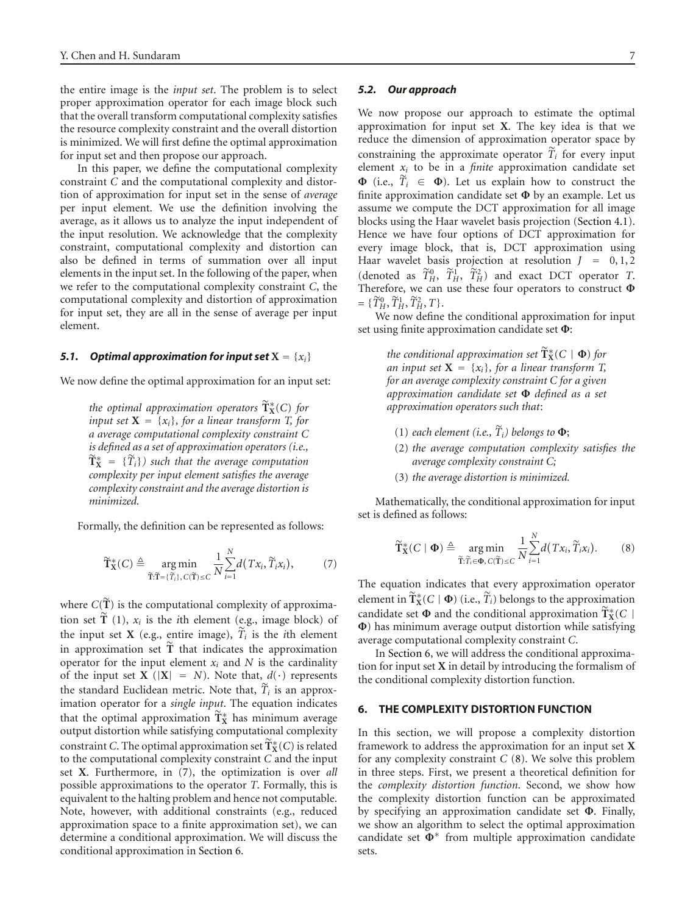the entire image is the *input set*. The problem is to select proper approximation operator for each image block such that the overall transform computational complexity satisfies the resource complexity constraint and the overall distortion is minimized. We will first define the optimal approximation for input set and then propose our approach.

In this paper, we define the computational complexity constraint *C* and the computational complexity and distortion of approximation for input set in the sense of *average* per input element. We use the definition involving the average, as it allows us to analyze the input independent of the input resolution. We acknowledge that the complexity constraint, computational complexity and distortion can also be defined in terms of summation over all input elements in the input set. In the following of the paper, when we refer to the computational complexity constraint *C*, the computational complexity and distortion of approximation for input set, they are all in the sense of average per input element.

## **5.1.** Optimal approximation for input set  $X = \{x_i\}$

We now define the optimal approximation for an input set:<br>*the optimal approximation operators*  $\tilde{T}_{X}^{*}(C)$  *for* 

∗ **<sup>X</sup>**(*C*) *for input set*  $X = \{x_i\}$ *, for a linear transform T, for a average computational complexity constraint C is defined as a set of approximation operators (i.e.,*  $\begin{array}{c} a \\ \hline a \\ iS \\ T \end{array}$  $\alpha$  is the contract of  $\alpha$  *i*,  $\beta$  *y c* and *i i i*,  $\alpha$ *i s*<sub>*j*</sub> *c s s average computational complexity constraint C defined as a set of approximation operators (i.e.,*  $\ddot{x} = {\tilde{T}_i}$ *) such that the complexity per input element satisfies the average complexity constraint and the average distortion is minimized.*

Formally, the definition can be represented as follows:  
\n
$$
\widetilde{\mathbf{T}}_{\mathbf{X}}^{*}(C) \triangleq \underset{\widetilde{\mathbf{T}}:\widetilde{\mathbf{T}}=\{\widetilde{T}_i\}, C(\widetilde{\mathbf{T}}) \leq C}{\arg\min} \frac{1}{N} \sum_{i=1}^{N} d(Tx_i, \widetilde{T}_i x_i), \qquad (7)
$$
\nwhere  $C(\widetilde{\mathbf{T}})$  is the computational complexity of approxima-

where  $C(\tilde{T})$  is the computational complexity of approximation set  $\tilde{T}(1)$ ,  $x_i$  is the *i*th element (e.g., image block) of where  $C(\tilde{T})$  is the computational complexity of approximation set  $\tilde{T}$  (1),  $x_i$  is the *i*th element (e.g., image block) of the input set **X** (e.g., entire image),  $\tilde{T}_i$  is the *i*th element tion set  $\tilde{T}$  (1),  $x_i$  is the<br>the input set **X** (e.g., et<br>in approximation set  $\tilde{T}$ in approximation set  $\tilde{T}$  that indicates the approximation operator for the input element  $x_i$  and  $N$  is the cardinality of the input set **X** ( $|X| = N$ ). Note that,  $d(\cdot)$  represents operator for the input element  $x_i$  and  $N$  is the cardinality of the input set  $X(|X| = N)$ . Note that,  $d(\cdot)$  represents the standard Euclidean metric. Note that,  $\tilde{T}_i$  is an approximation operator for a *single input*. imation operator for a *single input*. The equation indicates ∗ **<sup>X</sup>** has minimum average output distortion while satisfying computational complexity that the optimal approximation  $\tilde{T}_X^*$  has minimum average<br>output distortion while satisfying computational complexity<br>constraint *C*. The optimal approximation set  $\tilde{T}_X^*(C)$  is related to the computational complexity constraint *C* and the input set **X**. Furthermore, in (7), the optimization is over *all* possible approximations to the operator *T*. Formally, this is equivalent to the halting problem and hence not computable. Note, however, with additional constraints (e.g., reduced approximation space to a finite approximation set), we can determine a conditional approximation. We will discuss the conditional approximation in Section 6.

#### *5.2. Our approach*

We now propose our approach to estimate the optimal approximation for input set **X**. The key idea is that we<br>reduce the dimension of approximation operator space by<br>constraining the approximate operator  $\tilde{T}_i$  for every input reduce the dimension of approximation operator space by constraining the approximate operator  $\tilde{T}_i$  for every input<br>element  $x_i$  to be in a *finite* approximation candidate set<br> $\Phi$  (i.e.,  $\tilde{T}_i \in \Phi$ ). Let us explain how to construct the element *xi* to be in a *finite* approximation candidate set  $\Phi$  (i.e.,  $\tilde{T}_i \in \Phi$ ). Let us explain how to construct the finite approximation candidate set **Φ** by an example. Let us assume we compute the DCT approximation for all image blocks using the Haar wavelet basis projection (Section 4.1). Hence we have four options of DCT approximation for every image block, that is, DCT approximation using Haar wavelet basis projection at resolution  $J = 0, 1, 2$ Fraction denoted as  $\tilde{T}_{H}^{0}$ ,  $\tilde{T}_{H}^{1}$ ,  $\tilde{T}_{H}^{2}$ ) and exact DCT operator *T*.<br>Therefore, we can use these four operators to construct  $\Phi = {\tilde{T}_{H}^{0}, \tilde{T}_{H}^{1}, \tilde{T}_{H}^{2}}$ . Therefore, we can use these four operators to construct **Φ**  $T^0_H, \widetilde{T}^1_H, \widetilde{T}^2_H, T\}.$ 

We now define the conditional approximation for input set using finite approximation candidate set **Φ**: *the conditional approximation set*  $\tilde{T}_X^*(C \mid \Phi)$  *for the conditional approximation set*  $\tilde{T}_X^*(C \mid \Phi)$  *for* 

*an input set*  $X = \{x_i\}$ *, for a linear transform T, for an average complexity constraint C for a given approximation candidate set* **Φ** *defined as a set approximation operators such that*: (1) *each element (i.e., <sup>T</sup>*-*<sup>i</sup>) belongs to* **Φ**;

- 
- (2) *the average computation complexity satisfies the average complexity constraint C;*
- (3) *the average distortion is minimized.*

Mathematically, the conditional approximation for input set is defined as follows:

find as follows:

\n
$$
\widetilde{\mathbf{T}}_{\mathbf{X}}^{*}(C \mid \boldsymbol{\Phi}) \triangleq \underset{\widetilde{\mathbf{T}}: \widetilde{T}_{i} \in \boldsymbol{\Phi}, \ C(\widetilde{\mathbf{T}}) \leq C}{\arg \min} \frac{1}{N} \sum_{i=1}^{N} d(Tx_{i}, \widetilde{T}_{i}x_{i}).
$$
\n(8)

The equation indicates that every approximation operator The equation indicates that every approximation operator<br>
element in  $\tilde{T}_X^*(C | \Phi)$  (i.e.,  $\tilde{T}_i$ ) belongs to the approximation The equation indicates that every approximation op<br>element in  $\tilde{T}_{\text{X}}^{*}(C | \Phi)$  (i.e.,  $\tilde{T}_i$ ) belongs to the approxim<br>candidate set  $\Phi$  and the conditional approximation  $\tilde{T}$ ∗ **<sup>X</sup>**(*C* | **Φ**) has minimum average output distortion while satisfying average computational complexity constraint *C*.

In Section 6, we will address the conditional approximation for input set **X** in detail by introducing the formalism of the conditional complexity distortion function.

## **6. THE COMPLEXITY DISTORTION FUNCTION**

In this section, we will propose a complexity distortion framework to address the approximation for an input set **X** for any complexity constraint *C* (8). We solve this problem in three steps. First, we present a theoretical definition for the *complexity distortion function*. Second, we show how the complexity distortion function can be approximated by specifying an approximation candidate set **Φ**. Finally, we show an algorithm to select the optimal approximation candidate set **Φ**<sup>∗</sup> from multiple approximation candidate sets.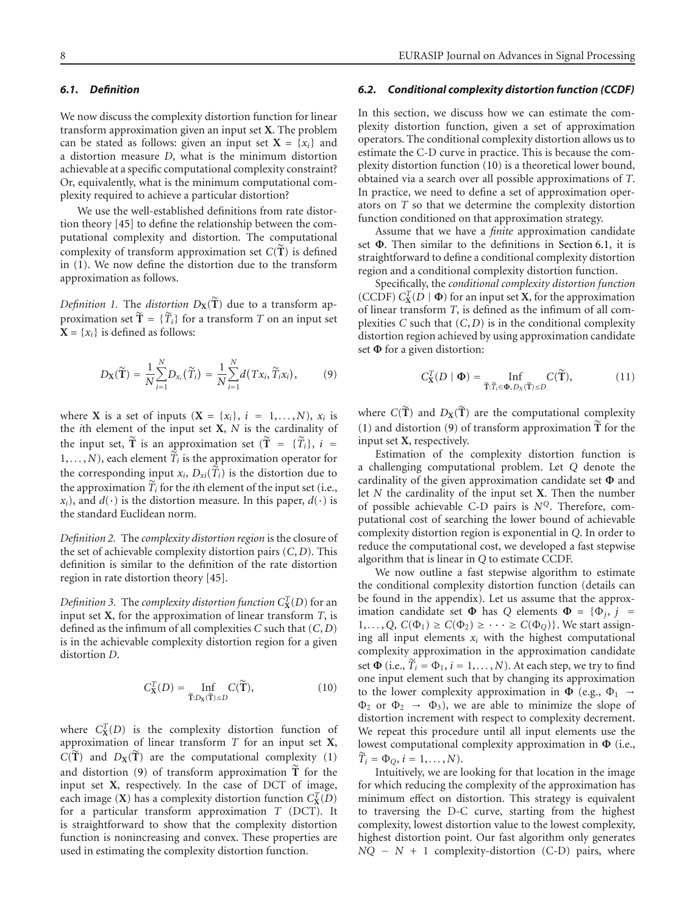## *6.1. Definition*

We now discuss the complexity distortion function for linear transform approximation given an input set **X**. The problem can be stated as follows: given an input set  $X = \{x_i\}$  and a distortion measure *D*, what is the minimum distortion achievable at a specific computational complexity constraint? Or, equivalently, what is the minimum computational complexity required to achieve a particular distortion?

We use the well-established definitions from rate distortion theory [45] to define the relationship between the computational complexity and distortion. The computational From the complexity of transform approximation set  $C(\tilde{T})$  is defined<br>complexity of transform approximation set  $C(\tilde{T})$  is defined in (1). We now define the distortion due to the transform approximation as follows. *Definition 1.* The *distortion*  $D_X(\tilde{T})$  due to a transform ap-<br>*Definition 1.* The *distortion*  $D_X(\tilde{T})$  due to a transform ap-

 $Definition\ 1.$  The *distor*<br>proximation set  $\tilde{T} = \{\tilde{T}$ proximation set  $\tilde{\mathbf{T}} = {\tilde{T}_i}$  for a transform *T* on an input set  $X = \{x_i\}$  is defined as follows:

$$
D_{\mathbf{X}}(\widetilde{\mathbf{T}}) = \frac{1}{N} \sum_{i=1}^{N} D_{x_i}(\widetilde{T}_i) = \frac{1}{N} \sum_{i=1}^{N} d(T x_i, \widetilde{T}_i x_i), \tag{9}
$$

where **X** is a set of inputs  $(X = \{x_i\}, i = 1, \ldots, N)$ ,  $x_i$  is the *i*th element of the input set **X**, *N* is the cardinality of where **X** is a set of inputs  $(X = \{x_i\}, i = 1,...,N)$ ,  $x_i$  is the *i*th element of the input set **X**, *N* is the cardinality of the input set,  $\tilde{T}$  is an approximation set  $(\tilde{T} = {\tilde{T}_i}, i =$ the *i*th element of the in<br>the input set,  $\tilde{T}$  is an ap<br>1,..., *N*), each element  $\hat{T}$ 1,..., *N*), each element  $\hat{T}_i$  is the approximation operator for the corresponding input  $x_i$ ,  $D_{xi}(\tilde{T}_i)$  is the distortion due to the approximation  $\tilde{T}_i$  for the *i*th element of the input set (i.e., the input set,  $\tilde{T}$  is an approxima<br>1,...,*N*), each element  $\tilde{T}_i$  is the ap<br>the corresponding input  $x_i$ ,  $D_{xi}(\tilde{T})$ the corresponding input  $x_i$ ,  $D_{xi}(T_i)$  is the distortion due to the approximation  $\tilde{T}_i$  for the *i*th element of the input set (i.e.,  $x_i$ , and  $d(\cdot)$  is the distortion measure. In this paper,  $d(\cdot)$  is the standard Euclidean norm.

*Definition 2.* The *complexity distortion region* is the closure of the set of achievable complexity distortion pairs (*C*, *D*). This definition is similar to the definition of the rate distortion region in rate distortion theory [45].

*Definition 3.* The *complexity distortion function*  $C^T_{\mathbf{X}}(D)$  for an input set **X**, for the approximation of linear transform *T*, is defined as the infimum of all complexities *C* such that (*C*, *D*) is in the achievable complexity distortion region for a given distortion *D*.

$$
C_{\mathbf{X}}^{T}(D) = \inf_{\widetilde{\mathbf{T}}: D_{\mathbf{X}}(\widetilde{\mathbf{T}}) \le D} C(\widetilde{\mathbf{T}}),
$$
 (10)

where  $C_{\mathbf{X}}^{T}(D)$  is the complexity distortion function of approximation of linear transform *T* for an input set **X**,  $C(\tilde{\mathbf{T}})$  and  $D_{\mathbf{X}}(\tilde{\mathbf{T}})$  are the computational complexity (1) approximation of linear transform *T* for an input set **X**,  $C(\tilde{T})$  and  $D_X(\tilde{T})$  are the computational complexity (1) and distortion (9) of transform approximation  $\tilde{T}$  for the  $C(\tilde{T})$  and  $D_X(\tilde{T})$  are the computational complexity (1) and distortion (9) of transform approximation  $\tilde{T}$  for the input set **X**, respectively. In the case of DCT of image, each image (**X**) has a complexity distortion function  $C^T$ **X**(*D*) for a particular transform approximation *T* (DCT). It is straightforward to show that the complexity distortion function is nonincreasing and convex. These properties are used in estimating the complexity distortion function.

## 8 EURASIP Journal on Advances in Signal Processing

## *6.2. Conditional complexity distortion function (CCDF)*

In this section, we discuss how we can estimate the complexity distortion function, given a set of approximation operators. The conditional complexity distortion allows us to estimate the C-D curve in practice. This is because the complexity distortion function (10) is a theoretical lower bound, obtained via a search over all possible approximations of *T*. In practice, we need to define a set of approximation operators on *T* so that we determine the complexity distortion function conditioned on that approximation strategy.

Assume that we have a *finite* approximation candidate set **Φ**. Then similar to the definitions in Section 6.1, it is straightforward to define a conditional complexity distortion region and a conditional complexity distortion function.

Specifically, the *conditional complexity distortion function* (CCDF)  $C^T$  $(X | D | \Phi)$  for an input set **X**, for the approximation of linear transform *T*, is defined as the infimum of all complexities  $C$  such that  $(C, D)$  is in the conditional complexity distortion region achieved by using approximation candidate set **Φ** for a given distortion: *C*(**T**-

$$
C_{\mathbf{X}}^{T}(D \mid \Phi) = \inf_{\widetilde{\mathbf{T}} : \widetilde{T}_{i} \in \Phi, D_{X}(\widetilde{\mathbf{T}}) \le D} C(\widetilde{\mathbf{T}}), \tag{11}
$$
  
where  $C(\widetilde{\mathbf{T}})$  and  $D_{\mathbf{X}}(\widetilde{\mathbf{T}})$  are the computational complexity

where  $C(\tilde{T})$  and  $D_X(\tilde{T})$  are the computational con (1) and distortion (9) of transform approximation  $\tilde{T}$ (1) and distortion (9) of transform approximation  $\tilde{T}$  for the input set **X**, respectively.

Estimation of the complexity distortion function is a challenging computational problem. Let *Q* denote the cardinality of the given approximation candidate set **Φ** and let *N* the cardinality of the input set **X**. Then the number of possible achievable C-D pairs is *N<sup>Q</sup>*. Therefore, computational cost of searching the lower bound of achievable complexity distortion region is exponential in *Q*. In order to reduce the computational cost, we developed a fast stepwise algorithm that is linear in *Q* to estimate CCDF.

We now outline a fast stepwise algorithm to estimate the conditional complexity distortion function (details can be found in the appendix). Let us assume that the approximation candidate set **Φ** has *Q* elements **Φ** = {Φ*j*, *j* =  $1, \ldots, Q$ ,  $C(\Phi_1) \geq C(\Phi_2) \geq \cdots \geq C(\Phi_Q)$ . We start assigning all input elements  $x_i$  with the highest computational complexity approximation in the approximation candidate ing all input elements  $x_i$  with the highest computational<br>complexity approximation in the approximation candidate<br>set  $\Phi$  (i.e.,  $\tilde{T}_i = \Phi_1$ ,  $i = 1,..., N$ ). At each step, we try to find one input element such that by changing its approximation to the lower complexity approximation in  $\Phi$  (e.g.,  $\Phi_1 \rightarrow$  $\Phi_2$  or  $\Phi_2 \to \Phi_3$ ), we are able to minimize the slope of distortion increment with respect to complexity decrement. We repeat this procedure until all input elements use the lowest computational complexity approximation in **Φ** (i.e., *T*- $\widetilde{T}_i = \Phi_Q, i = 1, ..., N$ .

Intuitively, we are looking for that location in the image for which reducing the complexity of the approximation has minimum effect on distortion. This strategy is equivalent to traversing the D-C curve, starting from the highest complexity, lowest distortion value to the lowest complexity, highest distortion point. Our fast algorithm only generates  $NQ - N + 1$  complexity-distortion (C-D) pairs, where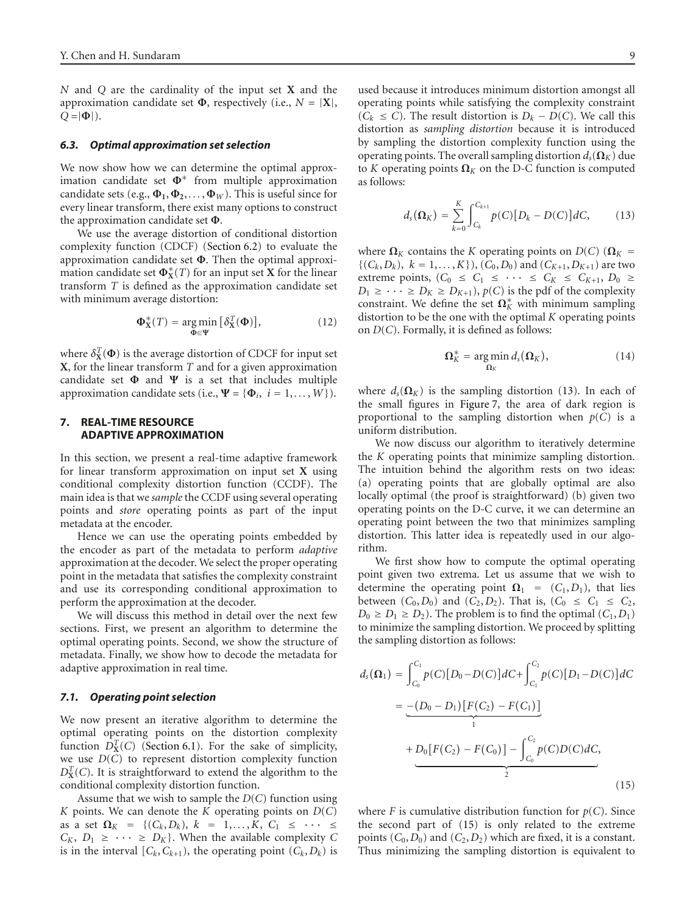*N* and *Q* are the cardinality of the input set **X** and the approximation candidate set  $\Phi$ , respectively (i.e.,  $N = |X|$ ,  $Q = |\Phi|$ ).

## *6.3. Optimal approximation set selection*

We now show how we can determine the optimal approximation candidate set **Φ**<sup>∗</sup> from multiple approximation candidate sets (e.g.,  $\Phi_1, \Phi_2, \ldots, \Phi_W$ ). This is useful since for every linear transform, there exist many options to construct the approximation candidate set **Φ**.

We use the average distortion of conditional distortion complexity function (CDCF) (Section 6.2) to evaluate the approximation candidate set **Φ**. Then the optimal approximation candidate set  $\Phi_{\mathbf{X}}^*(T)$  for an input set **X** for the linear transform *T* is defined as the approximation candidate set with minimum average distortion:

$$
\Phi_X^*(T) = \underset{\Phi \in \Psi}{\arg \min} \left[ \delta_X^T(\Phi) \right],\tag{12}
$$

where  $\delta_{\textbf{X}}^{T}(\boldsymbol{\Phi})$  is the average distortion of CDCF for input set **X**, for the linear transform *T* and for a given approximation candidate set  $\Phi$  and  $\Psi$  is a set that includes multiple approximation candidate sets (i.e.,  $\Psi = {\Phi_i, i = 1, ..., W}$ ).

## **7. REAL-TIME RESOURCE ADAPTIVE APPROXIMATION**

In this section, we present a real-time adaptive framework for linear transform approximation on input set **X** using conditional complexity distortion function (CCDF). The main idea is that we *sample*the CCDF using several operating points and *store* operating points as part of the input metadata at the encoder.

Hence we can use the operating points embedded by the encoder as part of the metadata to perform *adaptive* approximation at the decoder. We select the proper operating point in the metadata that satisfies the complexity constraint and use its corresponding conditional approximation to perform the approximation at the decoder.

We will discuss this method in detail over the next few sections. First, we present an algorithm to determine the optimal operating points. Second, we show the structure of metadata. Finally, we show how to decode the metadata for adaptive approximation in real time.

## *7.1. Operating point selection*

We now present an iterative algorithm to determine the optimal operating points on the distortion complexity function  $D_{\mathbf{X}}^T(C)$  (Section 6.1). For the sake of simplicity, we use *D*(*C*) to represent distortion complexity function  $D_{\textbf{X}}^{T}(C)$ . It is straightforward to extend the algorithm to the conditional complexity distortion function.

Assume that we wish to sample the *D*(*C*) function using *K* points. We can denote the *K* operating points on *D*(*C*) as a set  $\Omega_K$  = {( $C_k, D_k$ ),  $k$  = 1,...,  $K$ ,  $C_1$  ≤ ··· ≤  $C_K$ ,  $D_1 \geq \cdots \geq D_K$ . When the available complexity *C* is in the interval  $[C_k, C_{k+1})$ , the operating point  $(C_k, D_k)$  is

used because it introduces minimum distortion amongst all operating points while satisfying the complexity constraint  $(C_k$  ≤ *C*). The result distortion is  $D_k - D(C)$ . We call this distortion as *sampling distortion* because it is introduced by sampling the distortion complexity function using the operating points. The overall sampling distortion  $d_s(\mathbf{\Omega}_K)$  due to *K* operating points  $\Omega_K$  on the D-C function is computed<br>as follows: as follows:

$$
d_s(\Omega_K) = \sum_{k=0}^{K} \int_{C_k}^{C_{k+1}} p(C)[D_k - D(C)]dC,
$$
 (13)

where  $\Omega_K$  contains the *K* operating points on  $D(C)$  ( $\Omega_K =$  ${(C_k, D_k), k = 1, ..., K}, (C_0, D_0)$  and  $(C_{K+1}, D_{K+1})$  are two extreme points,  $(C_0 \le C_1 \le \cdots \le C_K \le C_{K+1}, D_0 \ge$  $D_1 \geq \cdots \geq D_K \geq D_{K+1}$ ,  $p(C)$  is the pdf of the complexity constraint. We define the set  $\Omega_K^*$  with minimum sampling distortion to be the one with the optimal *K* operating points on *D*(*C*). Formally, it is defined as follows:

$$
\Omega_K^* = \underset{\Omega_K}{\arg\min} \, d_s(\Omega_K), \tag{14}
$$

where  $d_s(\mathbf{\Omega}_K)$  is the sampling distortion (13). In each of the small figures in Figure 7, the area of dark region is proportional to the sampling distortion when  $p(C)$  is a uniform distribution.

We now discuss our algorithm to iteratively determine the *K* operating points that minimize sampling distortion. The intuition behind the algorithm rests on two ideas: (a) operating points that are globally optimal are also locally optimal (the proof is straightforward) (b) given two operating points on the D-C curve, it we can determine an operating point between the two that minimizes sampling distortion. This latter idea is repeatedly used in our algorithm.

We first show how to compute the optimal operating point given two extrema. Let us assume that we wish to determine the operating point  $\Omega_1 = (C_1, D_1)$ , that lies between  $(C_0, D_0)$  and  $(C_2, D_2)$ . That is,  $(C_0 \le C_1 \le C_2)$ ,  $D_0 \geq D_1 \geq D_2$ ). The problem is to find the optimal  $(C_1, D_1)$ to minimize the sampling distortion. We proceed by splitting<br>the sampling distantion as follows: the sampling distortion as follows:

$$
d_s(\Omega_1) = \int_{C_0}^{C_1} p(C) [D_0 - D(C)] dC + \int_{C_1}^{C_2} p(C) [D_1 - D(C)] dC
$$
  
= 
$$
- (D_0 - D_1) [F(C_2) - F(C_1)]
$$
  
+ 
$$
D_0 [F(C_2) - F(C_0)] - \int_{C_0}^{C_2} p(C) D(C) dC,
$$
  

$$
\frac{1}{2}
$$
 (15)

where *F* is cumulative distribution function for  $p(C)$ . Since the second part of (15) is only related to the extreme points  $(C_0, D_0)$  and  $(C_2, D_2)$  which are fixed, it is a constant. Thus minimizing the sampling distortion is equivalent to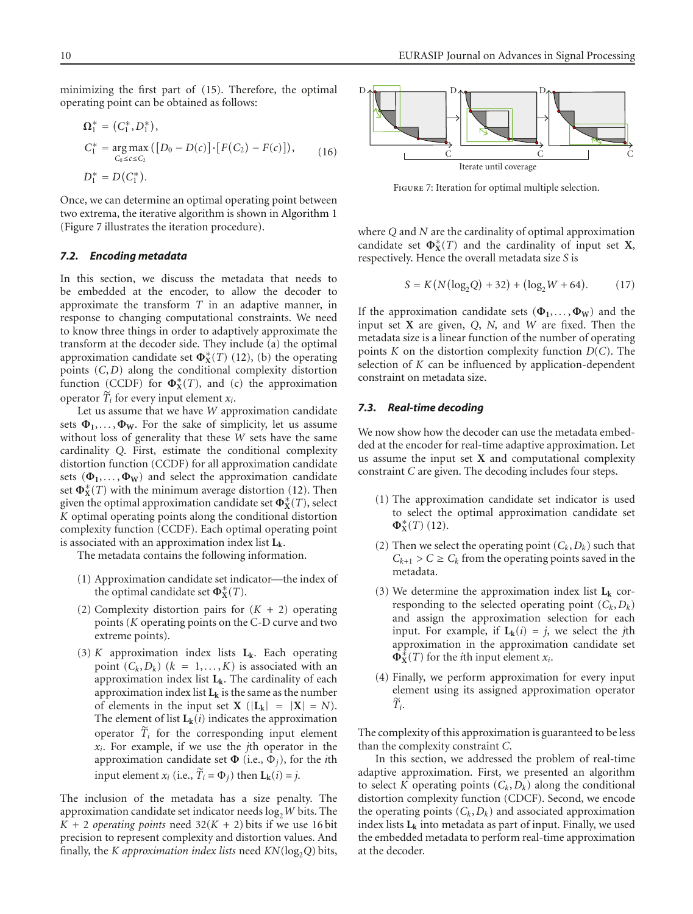minimizing the first part of (15). Therefore, the optimal<br>operating point can be obtained as follows:<br> $\Omega_1^* = (C_1^*, D_1^*),$ operating point can be obtained as follows: 

$$
\Omega_1^* = (C_1^*, D_1^*),
$$
  
\n
$$
C_1^* = \underset{C_0 \le c \le C_2}{\arg \max} ([D_0 - D(c)] \cdot [F(C_2) - F(c)]),
$$
  
\n
$$
D_1^* = D(C_1^*).
$$
\n(16)

Once, we can determine an optimal operating point between two extrema, the iterative algorithm is shown in Algorithm 1 (Figure 7 illustrates the iteration procedure).

## *7.2. Encoding metadata*

In this section, we discuss the metadata that needs to be embedded at the encoder, to allow the decoder to approximate the transform *T* in an adaptive manner, in response to changing computational constraints. We need to know three things in order to adaptively approximate the transform at the decoder side. They include (a) the optimal approximation candidate set **Φ**<sup>∗</sup> **<sup>X</sup>**(*T*) (12), (b) the operating points (*C*, *D*) along the conditional complexity distortion function (CCDF) for  $\Phi_{\mathbf{X}}^*(T)$ , and (c) the approximation points (C,<br>function (<br>operator  $\widetilde{T}$ operator  $\tilde{T}_i$  for every input element  $x_i$ .

Let us assume that we have *W* approximation candidate sets  $\Phi_1, \ldots, \Phi_W$ . For the sake of simplicity, let us assume without loss of generality that these *W* sets have the same cardinality *Q*. First, estimate the conditional complexity distortion function (CCDF) for all approximation candidate sets  $(\Phi_1, \ldots, \Phi_W)$  and select the approximation candidate set  $\Phi_{\mathbf{X}}^*(T)$  with the minimum average distortion (12). Then given the optimal approximation candidate set  $\Phi_{\textbf{X}}^{*}(T)$ , select *K* optimal operating points along the conditional distortion complexity function (CCDF). Each optimal operating point is associated with an approximation index list **Lk**.

The metadata contains the following information.

- (1) Approximation candidate set indicator—the index of the optimal candidate set  $\Phi_{\mathbf{X}}^*(T)$ .
- (2) Complexity distortion pairs for (*K* + 2) operating points (*K* operating points on the C-D curve and two extreme points).
- (3) *K* approximation index lists **Lk**. Each operating point  $(C_k, D_k)$   $(k = 1, \ldots, K)$  is associated with an approximation index list **Lk**. The cardinality of each approximation index list  $L_k$  is the same as the number of elements in the input set **X** ( $|L_k| = |X| = N$ ). The element of list  $L_k(i)$  indicates the approximation of elements<br>The elements<br>operator  $\tilde{T}$ operator  $\tilde{T}_i$  for the corresponding input element *xi*. For example, if we use the *j*th operator in the approximation candidate set **Φ** (i.e., Φ*j*), for the *i*th  $\dot{x}_i$ . For example, if we<br>approximation candida<br>input element  $x_i$  (i.e.,  $\tilde{T}$ *input element*  $x_i$  (*i.e.*,  $\widetilde{T}_i = \Phi_i$ ) then  $\mathbf{L}_k(i) = j$ .

The inclusion of the metadata has a size penalty. The approximation candidate set indicator needs  $log_2W$  bits. The  $K + 2$  *operating points* need  $32(K + 2)$  bits if we use 16 bit precision to represent complexity and distortion values. And finally, the *K approximation index lists* need  $KN(\log_2 Q)$  bits,



Figure 7: Iteration for optimal multiple selection.

where *Q* and *N* are the cardinality of optimal approximation candidate set  $\Phi_{\mathbf{x}}^*(T)$  and the cardinality of input set **X**,<br>respectively. Hence the overall metadata size *S* is<br> $S = K(N(\log_2 Q) + 32) + (\log_2 W + 64).$  (17) respectively. Hence the overall metadata size *S* is set  $\Phi_X^*(T)$  and the card<br>ly. Hence the overall metad<br> $S = K(N(\log_2 Q) + 32) + ($ 

$$
S = K(N(\log_2 Q) + 32) + (\log_2 W + 64). \tag{17}
$$

If the approximation candidate sets (**Φ1**, *...* ,**ΦW**) and the input set **X** are given, *Q*, *N,* and *W* are fixed. Then the metadata size is a linear function of the number of operating points *K* on the distortion complexity function *D*(*C*). The selection of *K* can be influenced by application-dependent constraint on metadata size.

## *7.3. Real-time decoding*

We now show how the decoder can use the metadata embedded at the encoder for real-time adaptive approximation. Let us assume the input set **X** and computational complexity constraint *C* are given. The decoding includes four steps.

- (1) The approximation candidate set indicator is used to select the optimal approximation candidate set  $\Phi_{\mathbf{X}}^*(T)$  (12).
- (2) Then we select the operating point  $(C_k, D_k)$  such that  $C_{k+1} > C \geq C_k$  from the operating points saved in the metadata.
- (3) We determine the approximation index list  $L_k$  corresponding to the selected operating point  $(C_k, D_k)$ and assign the approximation selection for each input. For example, if  $L_k(i) = j$ , we select the *j*th approximation in the approximation candidate set  $\Phi_{\mathbf{X}}^*(T)$  for the *i*th input element  $x_i$ .
- (4) Finally, we perform approximation for every input element using its assigned approximation operator *T*- $\widetilde{T}_i$ .

The complexity of this approximation is guaranteed to be less than the complexity constraint *C*.

In this section, we addressed the problem of real-time adaptive approximation. First, we presented an algorithm to select *K* operating points  $(C_k, D_k)$  along the conditional distortion complexity function (CDCF). Second, we encode the operating points  $(C_k, D_k)$  and associated approximation index lists  $L_k$  into metadata as part of input. Finally, we used the embedded metadata to perform real-time approximation at the decoder.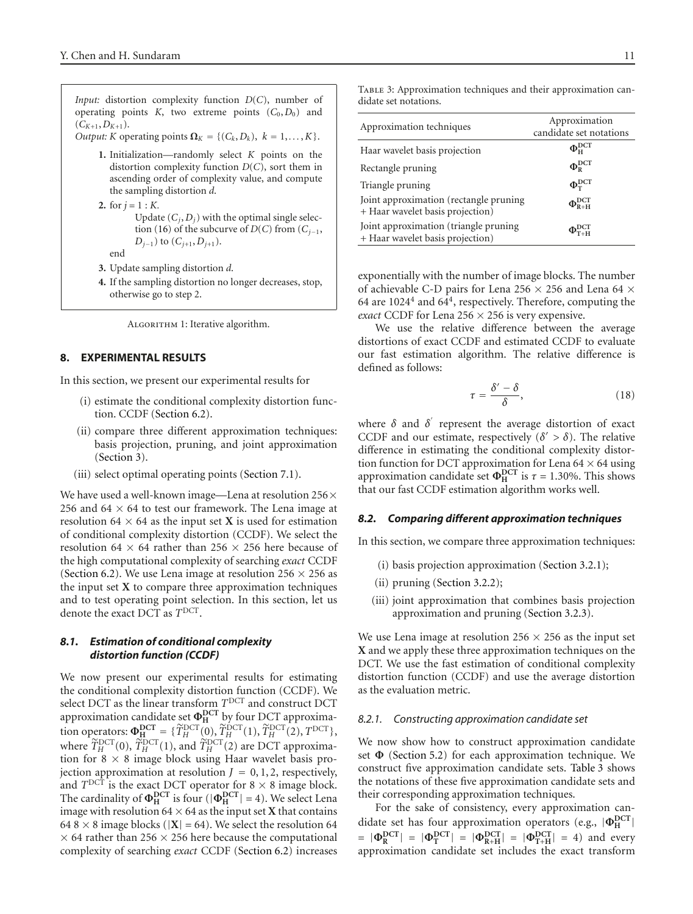*Input:* distortion complexity function *D*(*C*), number of operating points  $K$ , two extreme points  $(C_0, D_0)$  and  $(C_{K+1}, D_{K+1}).$ 

*Output: K* operating points  $\Omega_K = \{ (C_k, D_k), k = 1, \ldots, K \}.$ 

- **1.** Initialization—randomly select *K* points on the distortion complexity function *D*(*C*), sort them in ascending order of complexity value, and compute the sampling distortion *d*.
- **2.** for  $j = 1 : K$ .
	- Update  $(C_i, D_j)$  with the optimal single selection (16) of the subcurve of *D*(*C*) from ( $C_{j-1}$ , *D<sub>j−1</sub>*) to (*C<sub>j+1</sub>*, *D<sub>j+1</sub>*).
	- end
- **3.** Update sampling distortion *d*.
- **4.** If the sampling distortion no longer decreases, stop, otherwise go to step 2.

Algorithm 1: Iterative algorithm.

## **8. EXPERIMENTAL RESULTS**

In this section, we present our experimental results for

- (i) estimate the conditional complexity distortion function. CCDF (Section 6.2).
- (ii) compare three different approximation techniques: basis projection, pruning, and joint approximation (Section 3).
- (iii) select optimal operating points (Section 7.1).

We have used a well-known image—Lena at resolution  $256\times$ 256 and 64  $\times$  64 to test our framework. The Lena image at resolution  $64 \times 64$  as the input set **X** is used for estimation of conditional complexity distortion (CCDF). We select the resolution 64  $\times$  64 rather than 256  $\times$  256 here because of the high computational complexity of searching *exact* CCDF (Section 6.2). We use Lena image at resolution  $256 \times 256$  as the input set **X** to compare three approximation techniques and to test operating point selection. In this section, let us denote the exact DCT as  $T<sup>DCT</sup>$ .

## *8.1. Estimation of conditional complexity distortion function (CCDF)*

We now present our experimental results for estimating the conditional complexity distortion function (CCDF). We select DCT as the linear transform  $T^{DCT}$  and construct DCT approximation candidate set  $\Phi_H^{DCT}$  by four DCT approximation operators: **Φ**<sub>**H**</sub> detect DCT</del> as the linear transform  $T^{DT}$  and construct DCT approximation candidate set  $\Phi_H^{DCT}$  by four DCT approximation operators:  $\Phi_H^{DCT} = {\tilde{T}_{H}^{DCT}(0), \tilde{T}_{H}^{DCT}(1), \tilde{T}_{H}^{DCT}(2), T^{DCT}}$ , approximation candidate set  $\Phi_H^L$ <br>tion operators:  $\Phi_H^{DCT} = \{ \widetilde{T}_H^{DCT} (\theta) \}$ <br>where  $\widetilde{T}_H^{DCT}(0), \widetilde{T}_H^{DCT}(1),$  and  $\widetilde{T}$  $_{H}^{\text{DCT}}(0)$ ,  $\widetilde{T}_{H}^{\text{DCT}}(1)$ , and  $\widetilde{T}_{H}^{\text{DCT}}(2)$  are DCT approximation for  $8 \times 8$  image block using Haar wavelet basis projection approximation at resolution  $J = 0, 1, 2$ , respectively, and  $T^{DCT}$  is the exact DCT operator for  $8 \times 8$  image block. The cardinality of  $\Phi_H^{DCT}$  is four ( $|\Phi_H^{DCT}| = 4$ ). We select Lena image with resolution  $64 \times 64$  as the input set **X** that contains 64 8  $\times$  8 image blocks ( $|X|$  = 64). We select the resolution 64  $\times$  64 rather than 256  $\times$  256 here because the computational complexity of searching *exact* CCDF (Section 6.2) increases

| Approximation techniques                                                   | Approximation<br>candidate set notations |  |  |  |
|----------------------------------------------------------------------------|------------------------------------------|--|--|--|
| Haar wavelet basis projection                                              | $\Phi_{\rm H}^{\rm DCT}$                 |  |  |  |
| Rectangle pruning                                                          | $\Phi_{\rm R}^{\rm DCT}$                 |  |  |  |
| Triangle pruning                                                           | $\Phi_{\mathrm{T}}^{\mathrm{DCT}}$       |  |  |  |
| Joint approximation (rectangle pruning<br>+ Haar wavelet basis projection) | $\Phi_{\rm R+H}^{\rm DCT}$               |  |  |  |
| Joint approximation (triangle pruning<br>+ Haar wavelet basis projection)  | $\Phi^{\rm DCT}_{\rm T+H}$               |  |  |  |

exponentially with the number of image blocks. The number of achievable C-D pairs for Lena 256  $\times$  256 and Lena 64  $\times$ 64 are  $1024<sup>4</sup>$  and 64<sup>4</sup>, respectively. Therefore, computing the *exact* CCDF for Lena  $256 \times 256$  is very expensive.

We use the relative difference between the average distortions of exact CCDF and estimated CCDF to evaluate our fast estimation algorithm. The relative difference is defined as follows:

$$
\tau = \frac{\delta' - \delta}{\delta},\tag{18}
$$

where  $\delta$  and  $\delta'$  represent the average distortion of exact CCDF and our estimate, respectively  $(\delta' > \delta)$ . The relative difference in estimating the conditional complexity distortion function for DCT approximation for Lena  $64 \times 64$  using approximation candidate set  $\Phi_H^{DCT}$  is  $\tau = 1.30\%$ . This shows that our fast CCDF estimation algorithm works well.

## *8.2. Comparing different approximation techniques*

In this section, we compare three approximation techniques:

- (i) basis projection approximation (Section 3.2.1);
- (ii) pruning (Section 3.2.2);
- (iii) joint approximation that combines basis projection approximation and pruning (Section 3.2.3).

We use Lena image at resolution  $256 \times 256$  as the input set **X** and we apply these three approximation techniques on the DCT. We use the fast estimation of conditional complexity distortion function (CCDF) and use the average distortion as the evaluation metric.

### *8.2.1. Constructing approximation candidate set*

We now show how to construct approximation candidate set **Φ** (Section 5.2) for each approximation technique. We construct five approximation candidate sets. Table 3 shows the notations of these five approximation candidate sets and their corresponding approximation techniques.

For the sake of consistency, every approximation candidate set has four approximation operators (e.g.,  $|$ ΦH<sub>H</sub><sup>DCT</sup>|  $= |\Phi_R^{\text{DCT}}| = |\Phi_T^{\text{DCT}}| = |\Phi_{R+H}^{\text{DCT}}| = |\Phi_{T+H}^{\text{DCT}}| = 4$ ) and every approximation candidate set includes the exact transform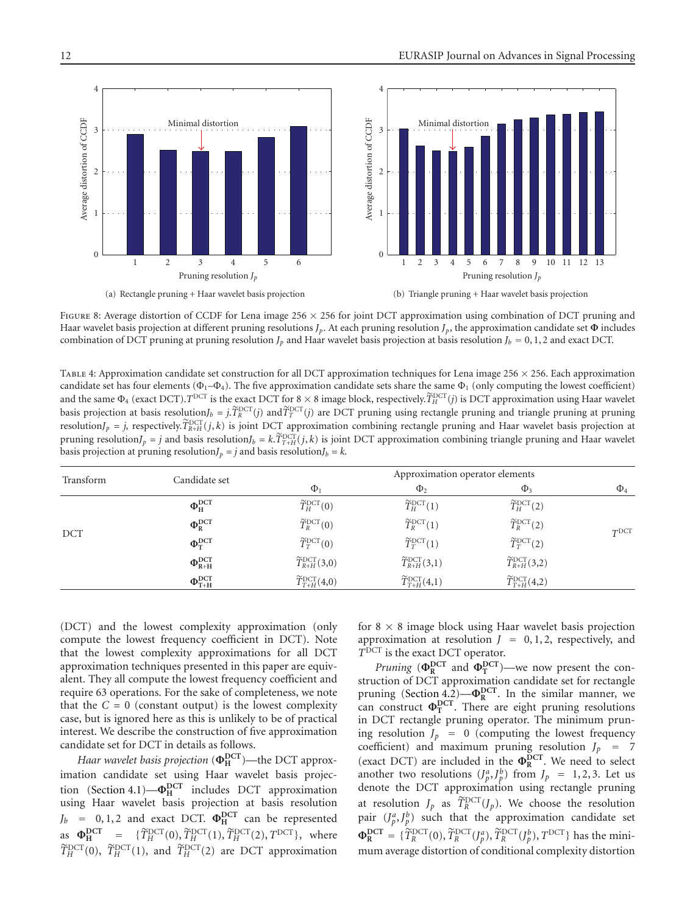

FIGURE 8: Average distortion of CCDF for Lena image  $256 \times 256$  for joint DCT approximation using combination of DCT pruning and Haar wavelet basis projection at different pruning resolutions *Jp*. At each pruning resolution *Jp*, the approximation candidate set **Φ** includes combination of DCT pruning at pruning resolution  $J_p$  and Haar wavelet basis projection at basis resolution  $J_b = 0, 1, 2$  and exact DCT.

TABLE 4: Approximation candidate set construction for all DCT approximation techniques for Lena image  $256 \times 256$ . Each approximation candidate set has four elements ( $\Phi_1 - \Phi_4$ ). The five approximation candidate sets share the same  $\Phi_1$  (only computing the lowest coefficient) TABLE 4: Approximation candidate set construction for all DCT approximation techniques for Lena image 256 × 256. Each approximation candidate sets share the same  $\Phi_1$  (only computing the lowest coefficient) and the same candidate set has four elements ( $\Phi_1$ – $\Phi_4$ ). The five appr<br>and the same  $\Phi_4$  (exact DCT).  $T^{DCT}$  is the exact DCT fc<br>basis projection at basis resolution $J_b = j. \tilde{T}_R^{DCT}(j)$  and  $\tilde{T}$  $T_R^{\text{DCT}}(j)$  and  $\widetilde{T}_T^{\text{DCT}}(j)$  are DCT pruning using rectangle pruning and triangle pruning at pruning and the same  $\Phi_4$  (exact DCT).<sup>7</sup><br>basis projection at basis resolu<br>resolution*J<sub>p</sub>* = *j*, respectively.<sup>7</sup>  $P_{R+H}^{\text{DCT}}(j,k)$  is joint DCT approximation combining rectangle pruning and Haar wavelet basis projection at basis projection at basis resolution $J_b = j \cdot \tilde{T}_R^{\text{DCT}}(j)$  and resolution $J_p = j$ , respectively.  $\tilde{T}_{R+H}^{\text{DCT}}(j,k)$  is joint DCT pruning resolution $J_p = j$  and basis resolution $J_b = k \cdot \tilde{T}$ DCT *<sup>T</sup>*+*<sup>H</sup>* (*j*, *k*) is joint DCT approximation combining triangle pruning and Haar wavelet basis projection at pruning resolution $J_p = j$  and basis resolution $J_b = k$ .

| Transform  | Candidate set                        | Approximation operator elements         |                                         |                                         |                  |  |  |  |
|------------|--------------------------------------|-----------------------------------------|-----------------------------------------|-----------------------------------------|------------------|--|--|--|
|            |                                      | $\Phi_1$                                | $\Phi_2$                                | $\Phi_3$                                | $\Phi_4$         |  |  |  |
|            | $\Phi_H^{DCT}$                       | $\widetilde{T}_{H}^{\text{DCT}}(0)$     | $\widetilde{T}_{H}^{DCT}(1)$            | $\widetilde{T}_{H}^{\text{DCT}}(2)$     |                  |  |  |  |
| <b>DCT</b> | $\Phi_{\rm R}^{\rm DCT}$             | $\widetilde{T}_R^{\rm DCT}(0)$          | $\widetilde{T}_R^{\text{DCT}}(1)$       | $\widetilde{T}_R^{\rm DCT}(2)$          | T <sup>DCT</sup> |  |  |  |
|            | $\Phi_{\mathrm{T}}^{\mathrm{DCT}}$   | $\widetilde{T}_{T}^{\text{DCT}}(0)$     | $\widetilde{T}_{\tau}^{\text{DCT}}(1)$  | $\widetilde{T}_{T}^{\text{DCT}}(2)$     |                  |  |  |  |
|            | $\Phi_{\text{R+H}}^{\text{DCT}}$     | $\widetilde{T}_{R+H}^{\text{DCT}}(3,0)$ | $\widetilde{T}_{R+H}^{\text{DCT}}(3,1)$ | $\widetilde{T}_{R+H}^{\text{DCT}}(3,2)$ |                  |  |  |  |
|            | $\Phi_{\mathrm{T+H}}^{\mathrm{DCT}}$ | $\widetilde{T}_{T+H}^{\text{DCT}}(4,0)$ | $\widetilde{T}_{T+H}^{\text{DCT}}(4,1)$ | $\widetilde{T}_{T+H}^{\rm DCT}(4,2)$    |                  |  |  |  |

(DCT) and the lowest complexity approximation (only compute the lowest frequency coefficient in DCT). Note that the lowest complexity approximations for all DCT approximation techniques presented in this paper are equivalent. They all compute the lowest frequency coefficient and require 63 operations. For the sake of completeness, we note that the  $C = 0$  (constant output) is the lowest complexity case, but is ignored here as this is unlikely to be of practical interest. We describe the construction of five approximation candidate set for DCT in details as follows.

*Haar wavelet basis projection (* $\Phi_H^{DCT})$ —the DCT approximation candidate set using Haar wavelet basis projection (Section 4.1)— $Φ$ <sup>DCT</sup> includes DCT approximation using Haar wavelet basis projection at basis resolution  $J_b$  = 0, 1, 2 and exact DCT.  $\Phi_H^{DCT}$  can be represented using Haar wavelet basis projection at basis resolution  $J_b = 0, 1, 2$  and exact DCT.  $\Phi_H^{DCT}$  can be represented<br>as  $\Phi_H^{DCT} = \{ \tilde{T}_H^{DCT}(0), \tilde{T}_H^{DCT}(1), \tilde{T}_H^{DCT}(2), T^{DCT} \}$ , where  $\tilde{T}_H^{DCT}(0)$ ,  $\tilde{T}_H^{DCT}(1)$ , and  $\tilde{T$ *J<sub>b</sub>* as  $\widetilde{T}$ 

for  $8 \times 8$  image block using Haar wavelet basis projection approximation at resolution  $J = 0, 1, 2$ , respectively, and  $T<sup>DCT</sup>$  is the exact DCT operator.

*Pruning* ( $\Phi_R^{DCT}$  and  $\Phi_T^{DCT}$ )—we now present the construction of DCT approximation candidate set for rectangle pruning (Section  $4.2$ )— $\Phi_R^{DCT}$ . In the similar manner, we can construct  $\Phi_{\text{T}}^{\text{DCT}}$ . There are eight pruning resolutions in DCT rectangle pruning operator. The minimum pruning resolution  $J_p = 0$  (computing the lowest frequency coefficient) and maximum pruning resolution  $J_p = 7$ (exact DCT) are included in the  $\Phi_R^{DCT}$ . We need to select another two resolutions  $(J_p^a, J_p^b)$  from  $J_p = 1, 2, 3$ . Let us denote the DCT approximation using rectangle pruning another two resolutions  $(J_p^a, J_p^b)$  from  $J_p = 1, 2, 3$ . Let us denote the DCT approximation using rectangle pruning at resolution  $J_p$  as  $\tilde{T}_R^{\text{DCT}}(J_p)$ . We choose the resolution pair  $(J_p^a, J_p^b)$  such that the approximation candidate set  $\Phi_{\mathbf{R}}^{\text{DCT}} = \{ \widetilde{T}_{R}^{\text{DCT}}(0), \widetilde{T}_{R}^{\text{DCT}}(J_{p}^{a}), \widetilde{T}_{R}^{\text{DCT}}(J_{p}^{b}), T^{\text{DCT}} \}$  has the miniresolution  $J_p$  as  $\tilde{T}_R^{\text{DCT}}(J_p)$ ,<br>
air  $(J_p^a, J_p^b)$  such that the a<br>  $R^{\text{DCT}} = {\tilde{T}_R^{\text{DCT}}(0), \tilde{T}_R^{\text{DCT}}(J_p^a), \tilde{T}_R^b}$ mum average distortion of conditional complexity distortion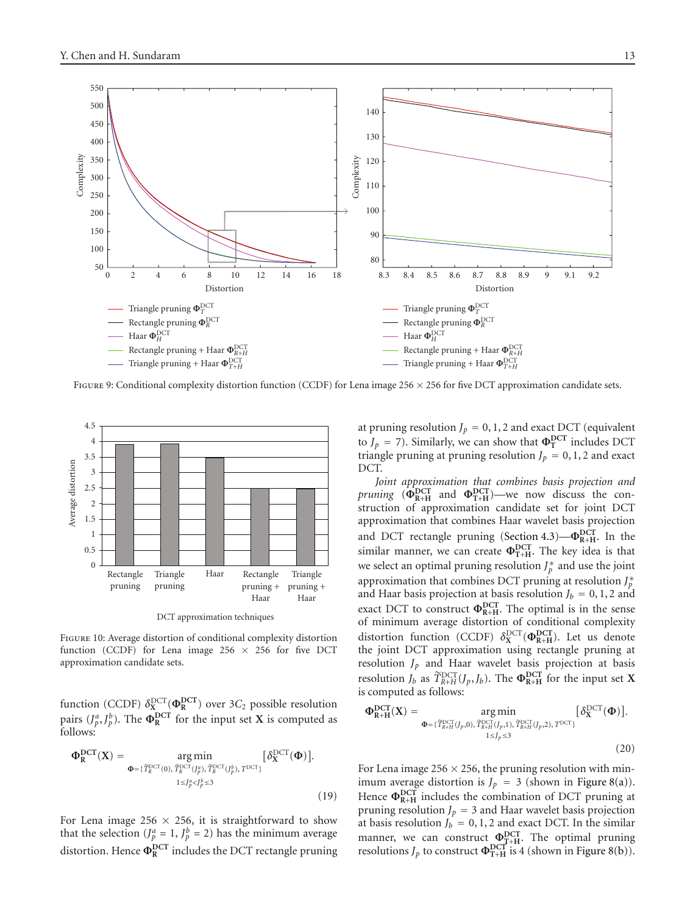

FIGURE 9: Conditional complexity distortion function (CCDF) for Lena image  $256 \times 256$  for five DCT approximation candidate sets.



DCT approximation techniques

Figure 10: Average distortion of conditional complexity distortion function (CCDF) for Lena image  $256 \times 256$  for five DCT approximation candidate sets.

function (CCDF)  $\delta_{\mathbf{X}}^{\text{DCT}}(\Phi_{\mathbf{R}}^{\text{DCT}})$  over 3C<sub>2</sub> possible resolution pairs  $(J_p^a, J_p^b)$ . The  $\Phi_{\mathbb{R}}^{DCT}$  for the input set **X** is computed as follows:

$$
\Phi_{\mathbf{R}}^{\text{DCT}}(\mathbf{X}) = \underset{\substack{\mathbf{\Phi} = \{\widetilde{T}_{R}^{\text{DCT}}(0), \widetilde{T}_{R}^{\text{DCT}}(J_{p}^{a}), \widetilde{T}_{R}^{\text{DCT}}(J_{p}^{b}), T^{\text{DCT}}\}}}{{\text{arg min}} \left[ \delta_{\mathbf{X}}^{\text{DCT}}(\mathbf{\Phi}) \right].}
$$
\n(19)

For Lena image 256  $\times$  256, it is straightforward to show that the selection ( $J_p^a = 1$ ,  $J_p^b = 2$ ) has the minimum average distortion. Hence **ΦDCT <sup>R</sup>** includes the DCT rectangle pruning at pruning resolution  $J_p = 0, 1, 2$  and exact DCT (equivalent to  $J_p = 7$ ). Similarly, we can show that  $\Phi_T^{DCT}$  includes DCT triangle pruning at pruning resolution  $J_p = 0, 1, 2$  and exact DCT.

*Joint approximation that combines basis projection and pruning* ( $\Phi_{\text{R+H}}^{\text{DCT}}$  and  $\Phi_{\text{T+H}}^{\text{DCT}}$ )—we now discuss the construction of approximation candidate set for joint DCT approximation that combines Haar wavelet basis projection and DCT rectangle pruning (Section 4.3)— $\Phi_{\text{R+H}}^{\text{DCT}}$ . In the similar manner, we can create  $\Phi_{T+H}^{DCT}$ . The key idea is that we select an optimal pruning resolution *J*<sup>∗</sup><sub>*p*</sub> and use the joint approximation that combines DCT pruning at resolution  $J_p^*$ and Haar basis projection at basis resolution  $J_b = 0, 1, 2$  and exact DCT to construct  $\Phi_{\text{R+H}}^{\text{DCT}}$ . The optimal is in the sense of minimum average distortion of conditional complexity distortion function (CCDF)  $\delta_{\mathbf{X}}^{\text{DCT}}(\mathbf{\Phi}_{\text{R}+\text{H}}^{\text{DCT}})$ . Let us denote the joint DCT approximation using rectangle pruning at resolution *Jp* and Haar wavelet basis projection at basis resolution *J<sub>p</sub>* and Haar wavelet basis projection at basis resolution *J<sub>p</sub>* and Haar wavelet basis projection at basis resolution *J<sub>p</sub>* as  $\widetilde{T}_{R+H}^{\text{DCT}}(J_p, J_b)$ . The  $\Phi_{R+H}^{\text{DCT}}$  for the input set **X** is computed as follows:

$$
\Phi_{\mathbf{R}+\mathbf{H}}^{\text{DCT}}(\mathbf{X}) = \underset{\substack{\Phi = \{\widetilde{T}_{R+H}^{\text{DCT}}(J_p, 0), \widetilde{T}_{R+H}^{\text{DCT}}(J_p, 1), \widetilde{T}_{R+H}^{\text{DCT}}(J_p, 2), T^{\text{DCT}}\}}}^{\text{arg min}} [\delta_{\mathbf{X}}^{\text{DCT}}(\mathbf{\Phi})].
$$
\n(20)

For Lena image  $256 \times 256$ , the pruning resolution with minimum average distortion is  $J_p = 3$  (shown in Figure 8(a)). Hence  $\Phi_{\text{R+H}}^{\text{DCT}}$  includes the combination of DCT pruning at pruning resolution  $J_p = 3$  and Haar wavelet basis projection at basis resolution  $J_b = 0, 1, 2$  and exact DCT. In the similar manner, we can construct  $\Phi_{\text{T+H}}^{\text{DCT}}$ . The optimal pruning resolutions  $J_p$  to construct  $\Phi_{T+H}^{DCT}$  is 4 (shown in Figure 8(b)).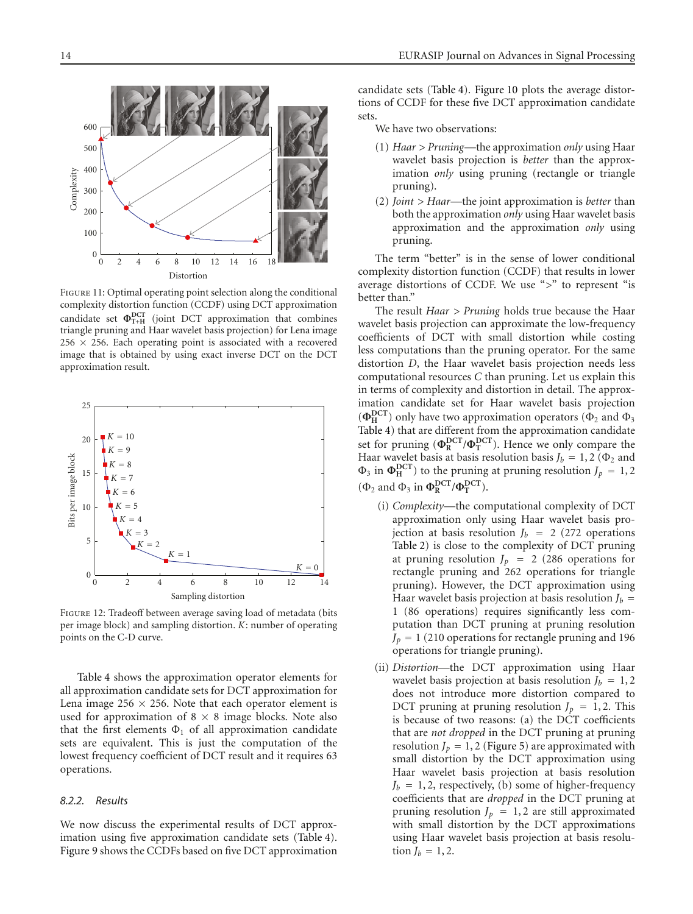

Figure 11: Optimal operating point selection along the conditional complexity distortion function (CCDF) using DCT approximation candidate set  $\Phi_{\text{T+H}}^{\text{DCT}}$  (joint DCT approximation that combines triangle pruning and Haar wavelet basis projection) for Lena image  $256 \times 256$ . Each operating point is associated with a recovered image that is obtained by using exact inverse DCT on the DCT approximation result.



Figure 12: Tradeoff between average saving load of metadata (bits per image block) and sampling distortion. *K*: number of operating points on the C-D curve.

Table 4 shows the approximation operator elements for all approximation candidate sets for DCT approximation for Lena image 256  $\times$  256. Note that each operator element is used for approximation of  $8 \times 8$  image blocks. Note also that the first elements  $\Phi_1$  of all approximation candidate sets are equivalent. This is just the computation of the lowest frequency coefficient of DCT result and it requires 63 operations.

## *8.2.2. Results*

We now discuss the experimental results of DCT approximation using five approximation candidate sets (Table 4). Figure 9 shows the CCDFs based on five DCT approximation candidate sets (Table 4). Figure 10 plots the average distortions of CCDF for these five DCT approximation candidate sets.

We have two observations:

- (1) *Haar > Pruning*—the approximation *only* using Haar wavelet basis projection is *better* than the approximation *only* using pruning (rectangle or triangle pruning).
- (2) *Joint > Haar*—the joint approximation is *better* than both the approximation *only* using Haar wavelet basis approximation and the approximation *only* using pruning.

The term "better" is in the sense of lower conditional complexity distortion function (CCDF) that results in lower average distortions of CCDF. We use "*>*" to represent "is better than."

The result *Haar > Pruning* holds true because the Haar wavelet basis projection can approximate the low-frequency coefficients of DCT with small distortion while costing less computations than the pruning operator. For the same distortion *D*, the Haar wavelet basis projection needs less computational resources *C* than pruning. Let us explain this in terms of complexity and distortion in detail. The approximation candidate set for Haar wavelet basis projection  $(\Phi_H^{DCT})$  only have two approximation operators ( $\Phi_2$  and  $\Phi_3$ ) Table 4) that are different from the approximation candidate set for pruning ( $\Phi_R^{DCT}/\Phi_T^{DCT}$ ). Hence we only compare the Haar wavelet basis at basis resolution basis  $J_b = 1, 2$  ( $\Phi_2$  and  $\Phi_3$  in  $\Phi_H^{DCT}$ ) to the pruning at pruning resolution *J<sub>p</sub>* = 1, 2  $(\Phi_2 \text{ and } \Phi_3 \text{ in } \Phi_R^{\text{DCT}}/\Phi_T^{\text{DCT}}).$ 

- (i) *Complexity*—the computational complexity of DCT approximation only using Haar wavelet basis projection at basis resolution  $J_b$  = 2 (272 operations Table 2) is close to the complexity of DCT pruning at pruning resolution  $J_p = 2$  (286 operations for rectangle pruning and 262 operations for triangle pruning). However, the DCT approximation using Haar wavelet basis projection at basis resolution  $J_b =$ 1 (86 operations) requires significantly less computation than DCT pruning at pruning resolution  $J_p = 1$  (210 operations for rectangle pruning and 196 operations for triangle pruning).
- (ii) *Distortion*—the DCT approximation using Haar wavelet basis projection at basis resolution  $J_b = 1, 2$ does not introduce more distortion compared to DCT pruning at pruning resolution  $J_p = 1, 2$ . This is because of two reasons: (a) the DCT coefficients that are *not dropped* in the DCT pruning at pruning resolution  $J_p = 1, 2$  (Figure 5) are approximated with small distortion by the DCT approximation using Haar wavelet basis projection at basis resolution  $J_b = 1, 2$ , respectively, (b) some of higher-frequency coefficients that are *dropped* in the DCT pruning at pruning resolution  $J_p = 1, 2$  are still approximated with small distortion by the DCT approximations using Haar wavelet basis projection at basis resolution  $J_b = 1, 2$ .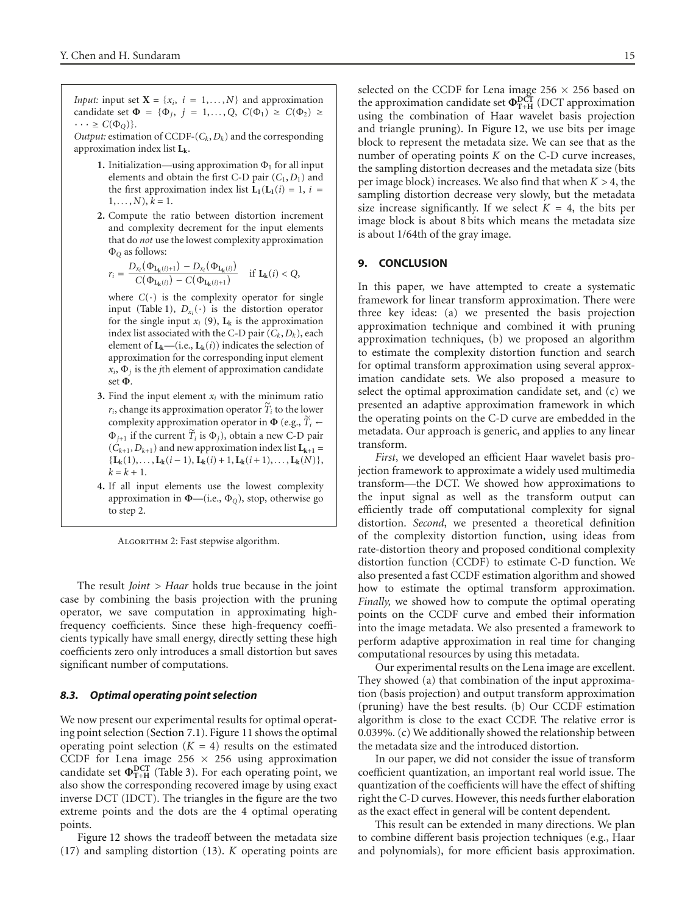*Input:* input set  $X = \{x_i, i = 1, \ldots, N\}$  and approximation candidate set  $\Phi = {\Phi_j, j = 1, ..., Q, C(\Phi_1) \ge C(\Phi_2)}$  $\cdots \geq C(\Phi_{O})\}.$ 

*Output:* estimation of CCDF-(*Ck*, *Dk*) and the corresponding approximation index list **Lk**.

- **1.** Initialization—using approximation  $\Phi_1$  for all input elements and obtain the first C-D pair  $(C_1, D_1)$  and the first approximation index list  $L_1(L_1(i) = 1, i =$  $1, \ldots, N$ ,  $k = 1$ .
- **2.** Compute the ratio between distortion increment and complexity decrement for the input elements that do *not* use the lowest complexity approximation Φ*<sup>Q</sup>* as follows: plexity α<br>*ot* use the<br>lows:<br>Φ<sub>L<sub>k</sub>(*i*)+1</sub>)

that do *not* use the lowest complexity approximation  
\n
$$
\Phi_Q \text{ as follows:}
$$
\n
$$
r_i = \frac{D_{x_i}(\Phi_{\mathbf{L}_k(i)+1}) - D_{x_i}(\Phi_{\mathbf{L}_k(i)})}{C(\Phi_{\mathbf{L}_k(i)}) - C(\Phi_{\mathbf{L}_k(i)+1})} \quad \text{if } \mathbf{L}_k(i) < Q,
$$

where  $C(\cdot)$  is the complexity operator for single input (Table 1),  $D_{x_i}(\cdot)$  is the distortion operator for the single input  $x_i$  (9),  $L_k$  is the approximation index list associated with the C-D pair  $(C_k, D_k)$ , each element of  $L_k$ —(i.e.,  $L_k(i)$ ) indicates the selection of approximation for the corresponding input element  $x_i$ ,  $\Phi_j$  is the *j*th element of approximation candidate set **Φ**.

- **3.** Find the input element  $x_i$  with the minimum ratio **Find the input element**  $x_i$  **with the minimum ratio**  $r_i$ **, change its approximation operator**  $\widetilde{T}_i$  **to the lower** Find the input element  $x_i$  with the minimum ratio  $\tilde{T}_i$  to the log complexity approximation operator in  $\Phi$  (e.g.,  $\tilde{T}_i$ complexity approximation operator in  $\Phi$  (e.g.,  $\tilde{T}_i \leftarrow$  $r_i$ , change its approxi<br>complexity approxim<br> $\Phi_{j+1}$  if the current  $\tilde{T}$  $\Phi_{i+1}$  if the current  $\tilde{T}_i$  is  $\Phi_i$ ), obtain a new C-D pair  $(C_{k+1}, D_{k+1})$  and new approximation index list  $L_{k+1}$  =  ${\bf L}_k(1), \ldots, {\bf L}_k(i-1), {\bf L}_k(i) + 1, {\bf L}_k(i+1), \ldots, {\bf L}_k(N) \},$  $k = k + 1$ .
- **4.** If all input elements use the lowest complexity approximation in  $\Phi$ —(i.e.,  $\Phi$ <sub>O</sub>), stop, otherwise go to step 2.

Algorithm 2: Fast stepwise algorithm.

The result *Joint > Haar* holds true because in the joint case by combining the basis projection with the pruning operator, we save computation in approximating highfrequency coefficients. Since these high-frequency coefficients typically have small energy, directly setting these high coefficients zero only introduces a small distortion but saves significant number of computations.

#### *8.3. Optimal operating point selection*

We now present our experimental results for optimal operating point selection (Section 7.1). Figure 11 shows the optimal operating point selection  $(K = 4)$  results on the estimated CCDF for Lena image  $256 \times 256$  using approximation candidate set  $\Phi_{\text{T+H}}^{\text{DCT}}$  (Table 3). For each operating point, we also show the corresponding recovered image by using exact inverse DCT (IDCT). The triangles in the figure are the two extreme points and the dots are the 4 optimal operating points.

Figure 12 shows the tradeoff between the metadata size (17) and sampling distortion (13). *K* operating points are

selected on the CCDF for Lena image  $256 \times 256$  based on the approximation candidate set  $\Phi_{T+H}^{DCT}$  (DCT approximation using the combination of Haar wavelet basis projection and triangle pruning). In Figure 12, we use bits per image block to represent the metadata size. We can see that as the number of operating points *K* on the C-D curve increases, the sampling distortion decreases and the metadata size (bits per image block) increases. We also find that when *K >* 4, the sampling distortion decrease very slowly, but the metadata size increase significantly. If we select  $K = 4$ , the bits per image block is about 8 bits which means the metadata size is about 1/64th of the gray image.

## **9. CONCLUSION**

In this paper, we have attempted to create a systematic framework for linear transform approximation. There were three key ideas: (a) we presented the basis projection approximation technique and combined it with pruning approximation techniques, (b) we proposed an algorithm to estimate the complexity distortion function and search for optimal transform approximation using several approximation candidate sets. We also proposed a measure to select the optimal approximation candidate set, and (c) we presented an adaptive approximation framework in which the operating points on the C-D curve are embedded in the metadata. Our approach is generic, and applies to any linear transform.

*First*, we developed an efficient Haar wavelet basis projection framework to approximate a widely used multimedia transform—the DCT. We showed how approximations to the input signal as well as the transform output can efficiently trade off computational complexity for signal distortion. *Second*, we presented a theoretical definition of the complexity distortion function, using ideas from rate-distortion theory and proposed conditional complexity distortion function (CCDF) to estimate C-D function. We also presented a fast CCDF estimation algorithm and showed how to estimate the optimal transform approximation. *Finally,* we showed how to compute the optimal operating points on the CCDF curve and embed their information into the image metadata. We also presented a framework to perform adaptive approximation in real time for changing computational resources by using this metadata.

Our experimental results on the Lena image are excellent. They showed (a) that combination of the input approximation (basis projection) and output transform approximation (pruning) have the best results. (b) Our CCDF estimation algorithm is close to the exact CCDF. The relative error is 0.039%. (c) We additionally showed the relationship between the metadata size and the introduced distortion.

In our paper, we did not consider the issue of transform coefficient quantization, an important real world issue. The quantization of the coefficients will have the effect of shifting right the C-D curves. However, this needs further elaboration as the exact effect in general will be content dependent.

This result can be extended in many directions. We plan to combine different basis projection techniques (e.g., Haar and polynomials), for more efficient basis approximation.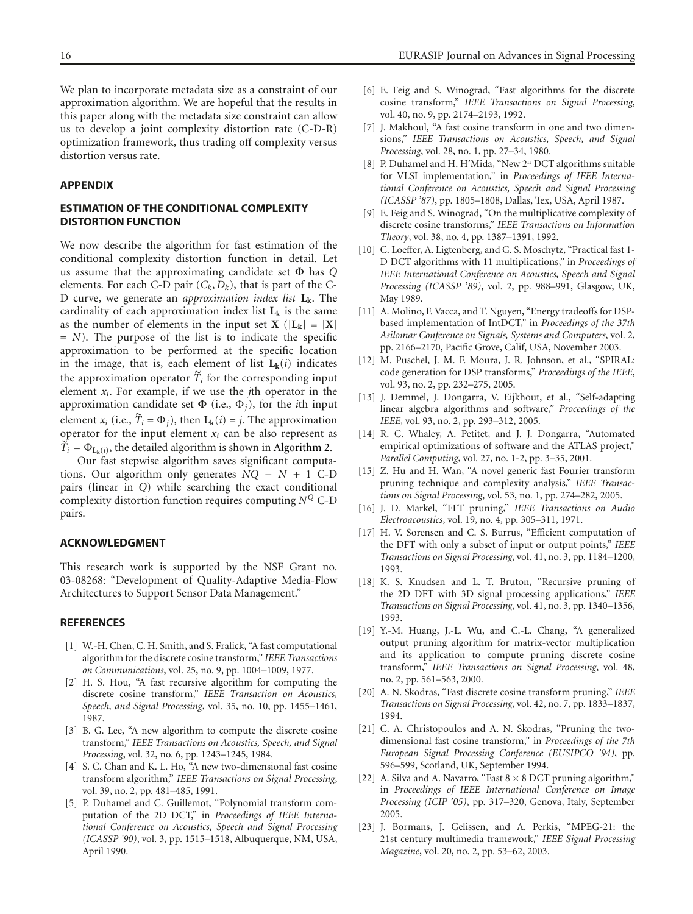We plan to incorporate metadata size as a constraint of our approximation algorithm. We are hopeful that the results in this paper along with the metadata size constraint can allow us to develop a joint complexity distortion rate (C-D-R) optimization framework, thus trading off complexity versus distortion versus rate.

## **APPENDIX**

## **ESTIMATION OF THE CONDITIONAL COMPLEXITY DISTORTION FUNCTION**

We now describe the algorithm for fast estimation of the conditional complexity distortion function in detail. Let us assume that the approximating candidate set **Φ** has *Q* elements. For each C-D pair (*Ck*, *Dk*), that is part of the C-D curve, we generate an *approximation index list* **Lk**. The cardinality of each approximation index list  $L_k$  is the same as the number of elements in the input set  $X(|L_k| = |X|)$ = *N*). The purpose of the list is to indicate the specific approximation to be performed at the specific location in the image, that is, each element of list  $L_k(i)$  indicates the purpose of the *n*<br>approximation to be perform<br>the approximation operator  $\tilde{T}$ the approximation operator  $\widetilde{T}_i$  for the corresponding input element *xi*. For example, if we use the *j*th operator in the approximation candidate set **Φ** (i.e., Φ*j*), for the *i*th input element *x<sub>i</sub>*. For example, if we use the *j*th operator in the approximation candidate set  $\Phi$  (i.e.,  $\Phi_j$ ), for the *i*th input element *x<sub>i</sub>* (i.e.,  $\widetilde{T}_i = \Phi_j$ ), then **L**<sub>k</sub>(*i*) = *j*. The approximation operator for the input element  $x_i$  can be also represent as red or  $\tilde{T}$  $\ddot{T}_i = \Phi_{\mathbf{L}_k(i)}$ , the detailed algorithm is shown in Algorithm 2.

Our fast stepwise algorithm saves significant computations. Our algorithm only generates *NQ* − *N* + 1 C-D pairs (linear in *Q*) while searching the exact conditional complexity distortion function requires computing *N<sup>Q</sup>* C-D pairs.

## **ACKNOWLEDGMENT**

This research work is supported by the NSF Grant no. 03-08268: "Development of Quality-Adaptive Media-Flow Architectures to Support Sensor Data Management."

## **REFERENCES**

- [1] W.-H. Chen, C. H. Smith, and S. Fralick, "A fast computational algorithm for the discrete cosine transform," *IEEE Transactions on Communications*, vol. 25, no. 9, pp. 1004–1009, 1977.
- [2] H. S. Hou, "A fast recursive algorithm for computing the discrete cosine transform," *IEEE Transaction on Acoustics, Speech, and Signal Processing*, vol. 35, no. 10, pp. 1455–1461, 1987.
- [3] B. G. Lee, "A new algorithm to compute the discrete cosine transform," *IEEE Transactions on Acoustics, Speech, and Signal Processing*, vol. 32, no. 6, pp. 1243–1245, 1984.
- [4] S. C. Chan and K. L. Ho, "A new two-dimensional fast cosine transform algorithm," *IEEE Transactions on Signal Processing*, vol. 39, no. 2, pp. 481–485, 1991.
- [5] P. Duhamel and C. Guillemot, "Polynomial transform computation of the 2D DCT," in *Proceedings of IEEE International Conference on Acoustics, Speech and Signal Processing (ICASSP '90)*, vol. 3, pp. 1515–1518, Albuquerque, NM, USA, April 1990.
- [6] E. Feig and S. Winograd, "Fast algorithms for the discrete cosine transform," *IEEE Transactions on Signal Processing*, vol. 40, no. 9, pp. 2174–2193, 1992.
- [7] J. Makhoul, "A fast cosine transform in one and two dimensions," *IEEE Transactions on Acoustics, Speech, and Signal Processing*, vol. 28, no. 1, pp. 27–34, 1980.
- [8] P. Duhamel and H. H'Mida, "New 2<sup>n</sup> DCT algorithms suitable for VLSI implementation," in *Proceedings of IEEE International Conference on Acoustics, Speech and Signal Processing (ICASSP '87)*, pp. 1805–1808, Dallas, Tex, USA, April 1987.
- [9] E. Feig and S. Winograd, "On the multiplicative complexity of discrete cosine transforms," *IEEE Transactions on Information Theory*, vol. 38, no. 4, pp. 1387–1391, 1992.
- [10] C. Loeffer, A. Ligtenberg, and G. S. Moschytz, "Practical fast 1-D DCT algorithms with 11 multiplications," in *Proceedings of IEEE International Conference on Acoustics, Speech and Signal Processing (ICASSP '89)*, vol. 2, pp. 988–991, Glasgow, UK, May 1989.
- [11] A. Molino, F. Vacca, and T. Nguyen, "Energy tradeoffs for DSPbased implementation of IntDCT," in *Proceedings of the 37th Asilomar Conference on Signals, Systems and Computers*, vol. 2, pp. 2166–2170, Pacific Grove, Calif, USA, November 2003.
- [12] M. Puschel, J. M. F. Moura, J. R. Johnson, et al., "SPIRAL: code generation for DSP transforms," *Proceedings of the IEEE*, vol. 93, no. 2, pp. 232–275, 2005.
- [13] J. Demmel, J. Dongarra, V. Eijkhout, et al., "Self-adapting linear algebra algorithms and software," *Proceedings of the IEEE*, vol. 93, no. 2, pp. 293–312, 2005.
- [14] R. C. Whaley, A. Petitet, and J. J. Dongarra, "Automated empirical optimizations of software and the ATLAS project," *Parallel Computing*, vol. 27, no. 1-2, pp. 3–35, 2001.
- [15] Z. Hu and H. Wan, "A novel generic fast Fourier transform pruning technique and complexity analysis," *IEEE Transactions on Signal Processing*, vol. 53, no. 1, pp. 274–282, 2005.
- [16] J. D. Markel, "FFT pruning," *IEEE Transactions on Audio Electroacoustics*, vol. 19, no. 4, pp. 305–311, 1971.
- [17] H. V. Sorensen and C. S. Burrus, "Efficient computation of the DFT with only a subset of input or output points," *IEEE Transactions on Signal Processing*, vol. 41, no. 3, pp. 1184–1200, 1993.
- [18] K. S. Knudsen and L. T. Bruton, "Recursive pruning of the 2D DFT with 3D signal processing applications," *IEEE Transactions on Signal Processing*, vol. 41, no. 3, pp. 1340–1356, 1993.
- [19] Y.-M. Huang, J.-L. Wu, and C.-L. Chang, "A generalized output pruning algorithm for matrix-vector multiplication and its application to compute pruning discrete cosine transform," *IEEE Transactions on Signal Processing*, vol. 48, no. 2, pp. 561–563, 2000.
- [20] A. N. Skodras, "Fast discrete cosine transform pruning," *IEEE Transactions on Signal Processing*, vol. 42, no. 7, pp. 1833–1837, 1994.
- [21] C. A. Christopoulos and A. N. Skodras, "Pruning the twodimensional fast cosine transform," in *Proceedings of the 7th European Signal Processing Conference (EUSIPCO '94)*, pp. 596–599, Scotland, UK, September 1994.
- [22] A. Silva and A. Navarro, "Fast  $8 \times 8$  DCT pruning algorithm," in *Proceedings of IEEE International Conference on Image Processing (ICIP '05)*, pp. 317–320, Genova, Italy, September 2005.
- [23] J. Bormans, J. Gelissen, and A. Perkis, "MPEG-21: the 21st century multimedia framework," *IEEE Signal Processing Magazine*, vol. 20, no. 2, pp. 53–62, 2003.